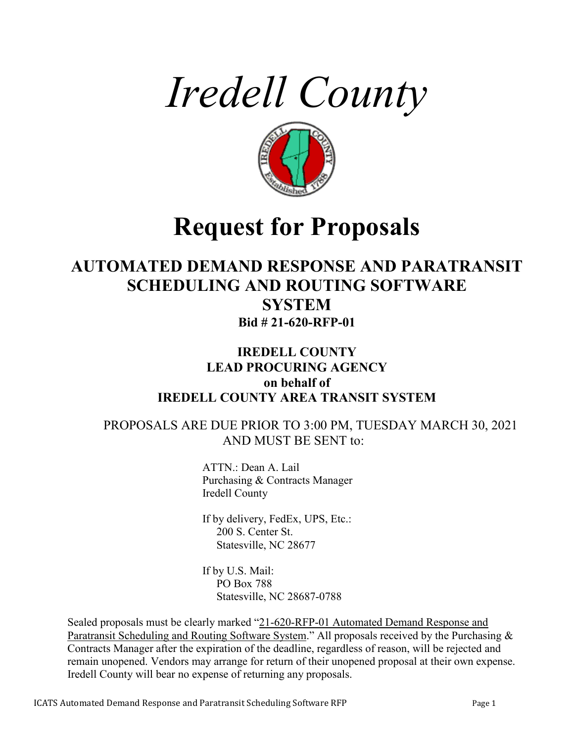



# **Request for Proposals**

## **AUTOMATED DEMAND RESPONSE AND PARATRANSIT SCHEDULING AND ROUTING SOFTWARE SYSTEM Bid # 21-620-RFP-01**

## **IREDELL COUNTY LEAD PROCURING AGENCY on behalf of IREDELL COUNTY AREA TRANSIT SYSTEM**

## PROPOSALS ARE DUE PRIOR TO 3:00 PM, TUESDAY MARCH 30, 2021 AND MUST BE SENT to:

ATTN.: Dean A. Lail Purchasing & Contracts Manager Iredell County

If by delivery, FedEx, UPS, Etc.: 200 S. Center St. Statesville, NC 28677

If by U.S. Mail: PO Box 788 Statesville, NC 28687-0788

Sealed proposals must be clearly marked "21-620-RFP-01 Automated Demand Response and Paratransit Scheduling and Routing Software System." All proposals received by the Purchasing & Contracts Manager after the expiration of the deadline, regardless of reason, will be rejected and remain unopened. Vendors may arrange for return of their unopened proposal at their own expense. Iredell County will bear no expense of returning any proposals.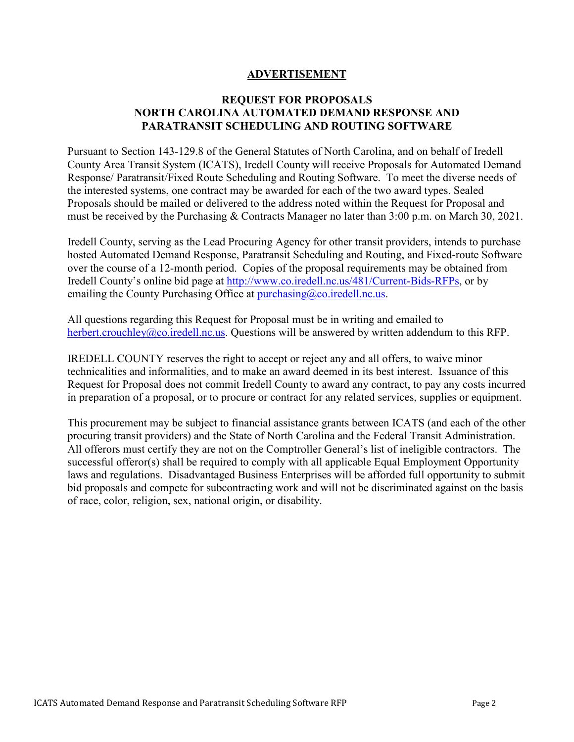## **ADVERTISEMENT**

## **REQUEST FOR PROPOSALS NORTH CAROLINA AUTOMATED DEMAND RESPONSE AND PARATRANSIT SCHEDULING AND ROUTING SOFTWARE**

Pursuant to Section 143-129.8 of the General Statutes of North Carolina, and on behalf of Iredell County Area Transit System (ICATS), Iredell County will receive Proposals for Automated Demand Response/ Paratransit/Fixed Route Scheduling and Routing Software. To meet the diverse needs of the interested systems, one contract may be awarded for each of the two award types. Sealed Proposals should be mailed or delivered to the address noted within the Request for Proposal and must be received by the Purchasing & Contracts Manager no later than 3:00 p.m. on March 30, 2021.

Iredell County, serving as the Lead Procuring Agency for other transit providers, intends to purchase hosted Automated Demand Response, Paratransit Scheduling and Routing, and Fixed-route Software over the course of a 12-month period. Copies of the proposal requirements may be obtained from Iredell County's online bid page at [http://www.co.iredell.nc.us/481/Current-Bids-RFPs,](http://www.co.iredell.nc.us/481/Current-Bids-RFPs) or by emailing the County Purchasing Office at  $\frac{\text{punchasing}(a)\text{co.} \text{iredell} \cdot \text{nca.}}{\text{cmailing}}$ 

All questions regarding this Request for Proposal must be in writing and emailed to [herbert.crouchley@co.iredell.nc.us.](mailto:herbert.crouchley@co.iredell.nc.us) Questions will be answered by written addendum to this RFP.

IREDELL COUNTY reserves the right to accept or reject any and all offers, to waive minor technicalities and informalities, and to make an award deemed in its best interest. Issuance of this Request for Proposal does not commit Iredell County to award any contract, to pay any costs incurred in preparation of a proposal, or to procure or contract for any related services, supplies or equipment.

This procurement may be subject to financial assistance grants between ICATS (and each of the other procuring transit providers) and the State of North Carolina and the Federal Transit Administration. All offerors must certify they are not on the Comptroller General's list of ineligible contractors. The successful offeror(s) shall be required to comply with all applicable Equal Employment Opportunity laws and regulations. Disadvantaged Business Enterprises will be afforded full opportunity to submit bid proposals and compete for subcontracting work and will not be discriminated against on the basis of race, color, religion, sex, national origin, or disability.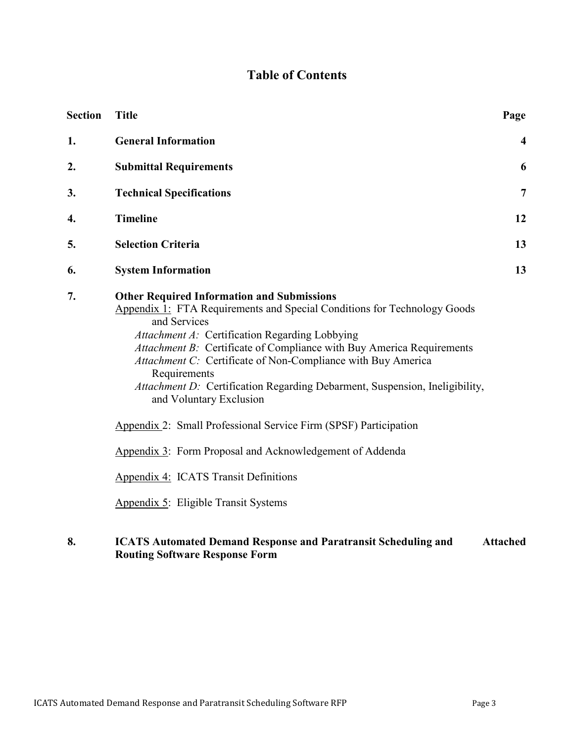## **Table of Contents**

| <b>Section</b> | <b>Title</b>                                                                                                                                                                                                                                                                                                                                                                                                                                                                                                                                                                                                                                                                        | Page                    |
|----------------|-------------------------------------------------------------------------------------------------------------------------------------------------------------------------------------------------------------------------------------------------------------------------------------------------------------------------------------------------------------------------------------------------------------------------------------------------------------------------------------------------------------------------------------------------------------------------------------------------------------------------------------------------------------------------------------|-------------------------|
| 1.             | <b>General Information</b>                                                                                                                                                                                                                                                                                                                                                                                                                                                                                                                                                                                                                                                          | $\overline{\mathbf{4}}$ |
| 2.             | <b>Submittal Requirements</b>                                                                                                                                                                                                                                                                                                                                                                                                                                                                                                                                                                                                                                                       | 6                       |
| 3.             | <b>Technical Specifications</b>                                                                                                                                                                                                                                                                                                                                                                                                                                                                                                                                                                                                                                                     | $\overline{7}$          |
| 4.             | <b>Timeline</b>                                                                                                                                                                                                                                                                                                                                                                                                                                                                                                                                                                                                                                                                     | 12                      |
| 5.             | <b>Selection Criteria</b>                                                                                                                                                                                                                                                                                                                                                                                                                                                                                                                                                                                                                                                           | 13                      |
| 6.             | <b>System Information</b>                                                                                                                                                                                                                                                                                                                                                                                                                                                                                                                                                                                                                                                           | 13                      |
| 7.             | <b>Other Required Information and Submissions</b><br>Appendix 1: FTA Requirements and Special Conditions for Technology Goods<br>and Services<br>Attachment A: Certification Regarding Lobbying<br>Attachment B: Certificate of Compliance with Buy America Requirements<br>Attachment C: Certificate of Non-Compliance with Buy America<br>Requirements<br>Attachment D: Certification Regarding Debarment, Suspension, Ineligibility,<br>and Voluntary Exclusion<br>Appendix 2: Small Professional Service Firm (SPSF) Participation<br>Appendix 3: Form Proposal and Acknowledgement of Addenda<br>Appendix 4: ICATS Transit Definitions<br>Appendix 5: Eligible Transit Systems |                         |

#### **8. ICATS Automated Demand Response and Paratransit Scheduling and Routing Software Response Form Attached**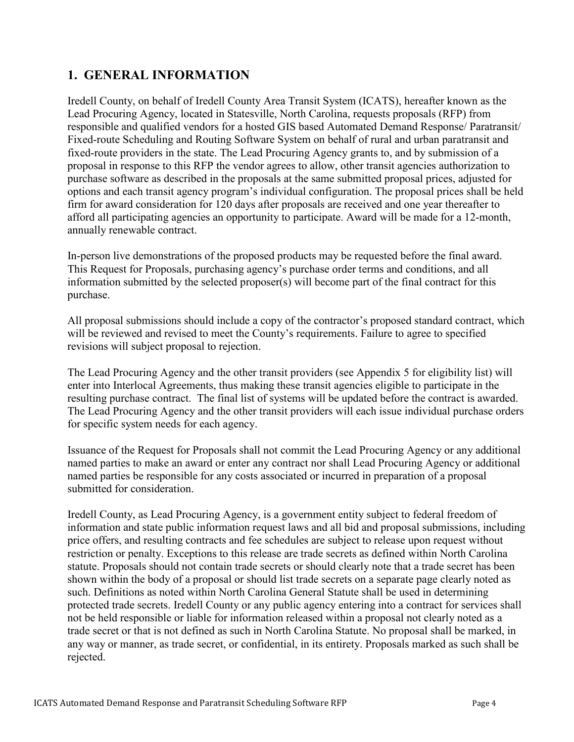## **1. GENERAL INFORMATION**

Iredell County, on behalf of Iredell County Area Transit System (ICATS), hereafter known as the Lead Procuring Agency, located in Statesville, North Carolina, requests proposals (RFP) from responsible and qualified vendors for a hosted GIS based Automated Demand Response/ Paratransit/ Fixed-route Scheduling and Routing Software System on behalf of rural and urban paratransit and fixed-route providers in the state. The Lead Procuring Agency grants to, and by submission of a proposal in response to this RFP the vendor agrees to allow, other transit agencies authorization to purchase software as described in the proposals at the same submitted proposal prices, adjusted for options and each transit agency program's individual configuration. The proposal prices shall be held firm for award consideration for 120 days after proposals are received and one year thereafter to afford all participating agencies an opportunity to participate. Award will be made for a 12-month, annually renewable contract.

In-person live demonstrations of the proposed products may be requested before the final award. This Request for Proposals, purchasing agency's purchase order terms and conditions, and all information submitted by the selected proposer(s) will become part of the final contract for this purchase.

All proposal submissions should include a copy of the contractor's proposed standard contract, which will be reviewed and revised to meet the County's requirements. Failure to agree to specified revisions will subject proposal to rejection.

The Lead Procuring Agency and the other transit providers (see Appendix 5 for eligibility list) will enter into Interlocal Agreements, thus making these transit agencies eligible to participate in the resulting purchase contract. The final list of systems will be updated before the contract is awarded. The Lead Procuring Agency and the other transit providers will each issue individual purchase orders for specific system needs for each agency.

Issuance of the Request for Proposals shall not commit the Lead Procuring Agency or any additional named parties to make an award or enter any contract nor shall Lead Procuring Agency or additional named parties be responsible for any costs associated or incurred in preparation of a proposal submitted for consideration.

Iredell County, as Lead Procuring Agency, is a government entity subject to federal freedom of information and state public information request laws and all bid and proposal submissions, including price offers, and resulting contracts and fee schedules are subject to release upon request without restriction or penalty. Exceptions to this release are trade secrets as defined within North Carolina statute. Proposals should not contain trade secrets or should clearly note that a trade secret has been shown within the body of a proposal or should list trade secrets on a separate page clearly noted as such. Definitions as noted within North Carolina General Statute shall be used in determining protected trade secrets. Iredell County or any public agency entering into a contract for services shall not be held responsible or liable for information released within a proposal not clearly noted as a trade secret or that is not defined as such in North Carolina Statute. No proposal shall be marked, in any way or manner, as trade secret, or confidential, in its entirety. Proposals marked as such shall be rejected.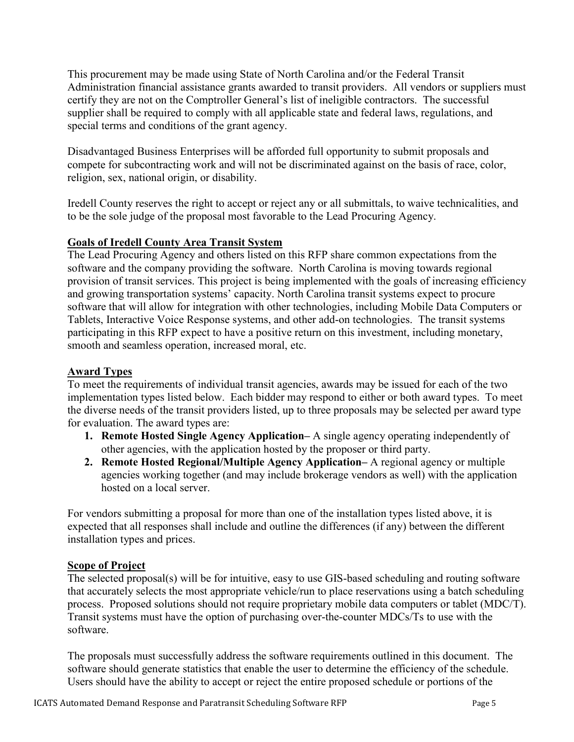This procurement may be made using State of North Carolina and/or the Federal Transit Administration financial assistance grants awarded to transit providers. All vendors or suppliers must certify they are not on the Comptroller General's list of ineligible contractors. The successful supplier shall be required to comply with all applicable state and federal laws, regulations, and special terms and conditions of the grant agency.

Disadvantaged Business Enterprises will be afforded full opportunity to submit proposals and compete for subcontracting work and will not be discriminated against on the basis of race, color, religion, sex, national origin, or disability.

Iredell County reserves the right to accept or reject any or all submittals, to waive technicalities, and to be the sole judge of the proposal most favorable to the Lead Procuring Agency.

## **Goals of Iredell County Area Transit System**

The Lead Procuring Agency and others listed on this RFP share common expectations from the software and the company providing the software. North Carolina is moving towards regional provision of transit services. This project is being implemented with the goals of increasing efficiency and growing transportation systems' capacity. North Carolina transit systems expect to procure software that will allow for integration with other technologies, including Mobile Data Computers or Tablets, Interactive Voice Response systems, and other add-on technologies. The transit systems participating in this RFP expect to have a positive return on this investment, including monetary, smooth and seamless operation, increased moral, etc.

## **Award Types**

To meet the requirements of individual transit agencies, awards may be issued for each of the two implementation types listed below. Each bidder may respond to either or both award types. To meet the diverse needs of the transit providers listed, up to three proposals may be selected per award type for evaluation. The award types are:

- **1. Remote Hosted Single Agency Application–** A single agency operating independently of other agencies, with the application hosted by the proposer or third party.
- **2. Remote Hosted Regional/Multiple Agency Application–** A regional agency or multiple agencies working together (and may include brokerage vendors as well) with the application hosted on a local server.

For vendors submitting a proposal for more than one of the installation types listed above, it is expected that all responses shall include and outline the differences (if any) between the different installation types and prices.

### **Scope of Project**

The selected proposal(s) will be for intuitive, easy to use GIS-based scheduling and routing software that accurately selects the most appropriate vehicle/run to place reservations using a batch scheduling process. Proposed solutions should not require proprietary mobile data computers or tablet (MDC/T). Transit systems must have the option of purchasing over-the-counter MDCs/Ts to use with the software.

The proposals must successfully address the software requirements outlined in this document. The software should generate statistics that enable the user to determine the efficiency of the schedule. Users should have the ability to accept or reject the entire proposed schedule or portions of the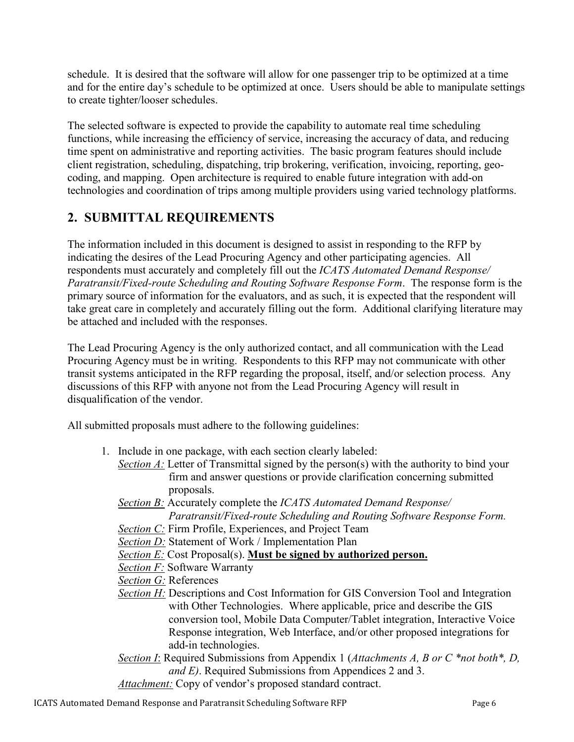schedule. It is desired that the software will allow for one passenger trip to be optimized at a time and for the entire day's schedule to be optimized at once. Users should be able to manipulate settings to create tighter/looser schedules.

The selected software is expected to provide the capability to automate real time scheduling functions, while increasing the efficiency of service, increasing the accuracy of data, and reducing time spent on administrative and reporting activities. The basic program features should include client registration, scheduling, dispatching, trip brokering, verification, invoicing, reporting, geocoding, and mapping. Open architecture is required to enable future integration with add-on technologies and coordination of trips among multiple providers using varied technology platforms.

## **2. SUBMITTAL REQUIREMENTS**

The information included in this document is designed to assist in responding to the RFP by indicating the desires of the Lead Procuring Agency and other participating agencies. All respondents must accurately and completely fill out the *ICATS Automated Demand Response/ Paratransit/Fixed-route Scheduling and Routing Software Response Form*. The response form is the primary source of information for the evaluators, and as such, it is expected that the respondent will take great care in completely and accurately filling out the form. Additional clarifying literature may be attached and included with the responses.

The Lead Procuring Agency is the only authorized contact, and all communication with the Lead Procuring Agency must be in writing. Respondents to this RFP may not communicate with other transit systems anticipated in the RFP regarding the proposal, itself, and/or selection process. Any discussions of this RFP with anyone not from the Lead Procuring Agency will result in disqualification of the vendor.

All submitted proposals must adhere to the following guidelines:

- 1. Include in one package, with each section clearly labeled:
	- *Section A:* Letter of Transmittal signed by the person(s) with the authority to bind your firm and answer questions or provide clarification concerning submitted proposals.
	- *Section B:* Accurately complete the *ICATS Automated Demand Response/ Paratransit/Fixed-route Scheduling and Routing Software Response Form.*
	- *Section C:* Firm Profile, Experiences, and Project Team
	- *Section D:* Statement of Work / Implementation Plan
	- *Section E:* Cost Proposal(s). **Must be signed by authorized person.**

*Section F:* Software Warranty

- *Section G:* References
- *Section H:* Descriptions and Cost Information for GIS Conversion Tool and Integration with Other Technologies. Where applicable, price and describe the GIS conversion tool, Mobile Data Computer/Tablet integration, Interactive Voice Response integration, Web Interface, and/or other proposed integrations for add-in technologies.
- *Section I*: Required Submissions from Appendix 1 (*Attachments A, B or C \*not both\*, D, and E)*. Required Submissions from Appendices 2 and 3.
- *Attachment:* Copy of vendor's proposed standard contract.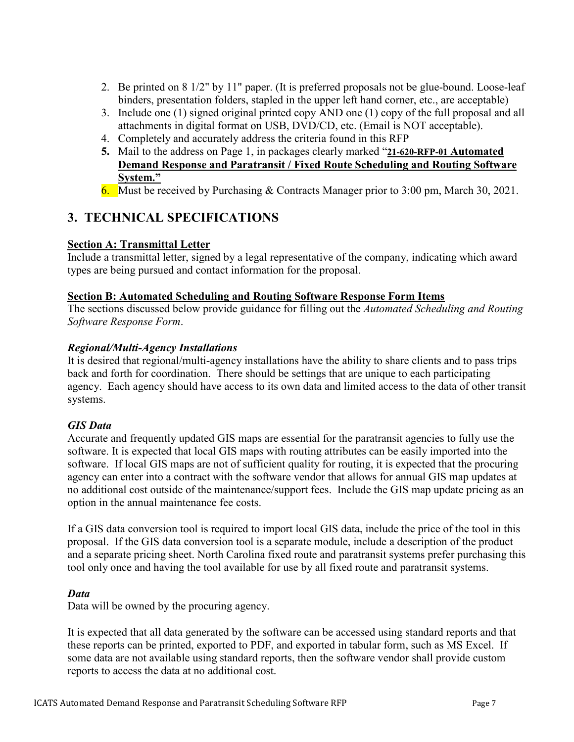- 2. Be printed on 8 1/2" by 11" paper. (It is preferred proposals not be glue-bound. Loose-leaf binders, presentation folders, stapled in the upper left hand corner, etc., are acceptable)
- 3. Include one (1) signed original printed copy AND one (1) copy of the full proposal and all attachments in digital format on USB, DVD/CD, etc. (Email is NOT acceptable).
- 4. Completely and accurately address the criteria found in this RFP
- **5.** Mail to the address on Page 1, in packages clearly marked "**21-620-RFP-01 Automated Demand Response and Paratransit / Fixed Route Scheduling and Routing Software System."**
- 6. Must be received by Purchasing & Contracts Manager prior to 3:00 pm, March 30, 2021.

## **3. TECHNICAL SPECIFICATIONS**

## **Section A: Transmittal Letter**

Include a transmittal letter, signed by a legal representative of the company, indicating which award types are being pursued and contact information for the proposal.

## **Section B: Automated Scheduling and Routing Software Response Form Items**

The sections discussed below provide guidance for filling out the *Automated Scheduling and Routing Software Response Form*.

## *Regional/Multi-Agency Installations*

It is desired that regional/multi-agency installations have the ability to share clients and to pass trips back and forth for coordination. There should be settings that are unique to each participating agency. Each agency should have access to its own data and limited access to the data of other transit systems.

## *GIS Data*

Accurate and frequently updated GIS maps are essential for the paratransit agencies to fully use the software. It is expected that local GIS maps with routing attributes can be easily imported into the software. If local GIS maps are not of sufficient quality for routing, it is expected that the procuring agency can enter into a contract with the software vendor that allows for annual GIS map updates at no additional cost outside of the maintenance/support fees. Include the GIS map update pricing as an option in the annual maintenance fee costs.

If a GIS data conversion tool is required to import local GIS data, include the price of the tool in this proposal. If the GIS data conversion tool is a separate module, include a description of the product and a separate pricing sheet. North Carolina fixed route and paratransit systems prefer purchasing this tool only once and having the tool available for use by all fixed route and paratransit systems.

## *Data*

Data will be owned by the procuring agency.

It is expected that all data generated by the software can be accessed using standard reports and that these reports can be printed, exported to PDF, and exported in tabular form, such as MS Excel. If some data are not available using standard reports, then the software vendor shall provide custom reports to access the data at no additional cost.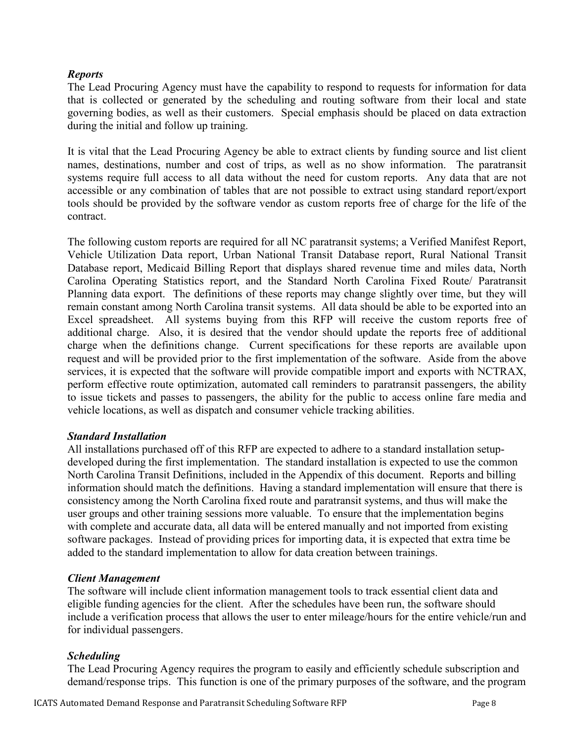## *Reports*

The Lead Procuring Agency must have the capability to respond to requests for information for data that is collected or generated by the scheduling and routing software from their local and state governing bodies, as well as their customers. Special emphasis should be placed on data extraction during the initial and follow up training.

It is vital that the Lead Procuring Agency be able to extract clients by funding source and list client names, destinations, number and cost of trips, as well as no show information. The paratransit systems require full access to all data without the need for custom reports. Any data that are not accessible or any combination of tables that are not possible to extract using standard report/export tools should be provided by the software vendor as custom reports free of charge for the life of the contract.

The following custom reports are required for all NC paratransit systems; a Verified Manifest Report, Vehicle Utilization Data report, Urban National Transit Database report, Rural National Transit Database report, Medicaid Billing Report that displays shared revenue time and miles data, North Carolina Operating Statistics report, and the Standard North Carolina Fixed Route/ Paratransit Planning data export. The definitions of these reports may change slightly over time, but they will remain constant among North Carolina transit systems. All data should be able to be exported into an Excel spreadsheet. All systems buying from this RFP will receive the custom reports free of additional charge. Also, it is desired that the vendor should update the reports free of additional charge when the definitions change. Current specifications for these reports are available upon request and will be provided prior to the first implementation of the software. Aside from the above services, it is expected that the software will provide compatible import and exports with NCTRAX, perform effective route optimization, automated call reminders to paratransit passengers, the ability to issue tickets and passes to passengers, the ability for the public to access online fare media and vehicle locations, as well as dispatch and consumer vehicle tracking abilities.

### *Standard Installation*

All installations purchased off of this RFP are expected to adhere to a standard installation setupdeveloped during the first implementation. The standard installation is expected to use the common North Carolina Transit Definitions, included in the Appendix of this document. Reports and billing information should match the definitions. Having a standard implementation will ensure that there is consistency among the North Carolina fixed route and paratransit systems, and thus will make the user groups and other training sessions more valuable. To ensure that the implementation begins with complete and accurate data, all data will be entered manually and not imported from existing software packages. Instead of providing prices for importing data, it is expected that extra time be added to the standard implementation to allow for data creation between trainings.

### *Client Management*

The software will include client information management tools to track essential client data and eligible funding agencies for the client. After the schedules have been run, the software should include a verification process that allows the user to enter mileage/hours for the entire vehicle/run and for individual passengers.

### *Scheduling*

The Lead Procuring Agency requires the program to easily and efficiently schedule subscription and demand/response trips. This function is one of the primary purposes of the software, and the program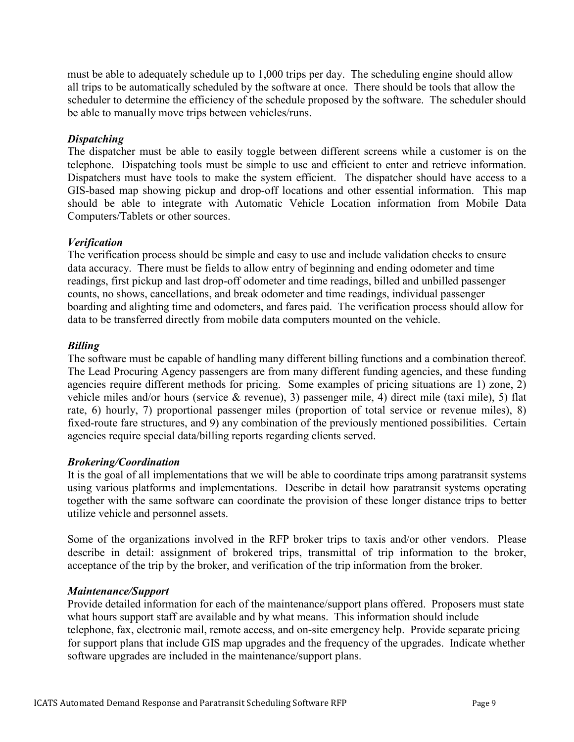must be able to adequately schedule up to 1,000 trips per day. The scheduling engine should allow all trips to be automatically scheduled by the software at once. There should be tools that allow the scheduler to determine the efficiency of the schedule proposed by the software. The scheduler should be able to manually move trips between vehicles/runs.

## *Dispatching*

The dispatcher must be able to easily toggle between different screens while a customer is on the telephone. Dispatching tools must be simple to use and efficient to enter and retrieve information. Dispatchers must have tools to make the system efficient. The dispatcher should have access to a GIS-based map showing pickup and drop-off locations and other essential information. This map should be able to integrate with Automatic Vehicle Location information from Mobile Data Computers/Tablets or other sources.

### *Verification*

The verification process should be simple and easy to use and include validation checks to ensure data accuracy. There must be fields to allow entry of beginning and ending odometer and time readings, first pickup and last drop-off odometer and time readings, billed and unbilled passenger counts, no shows, cancellations, and break odometer and time readings, individual passenger boarding and alighting time and odometers, and fares paid. The verification process should allow for data to be transferred directly from mobile data computers mounted on the vehicle.

## *Billing*

The software must be capable of handling many different billing functions and a combination thereof. The Lead Procuring Agency passengers are from many different funding agencies, and these funding agencies require different methods for pricing. Some examples of pricing situations are 1) zone, 2) vehicle miles and/or hours (service & revenue), 3) passenger mile, 4) direct mile (taxi mile), 5) flat rate, 6) hourly, 7) proportional passenger miles (proportion of total service or revenue miles), 8) fixed-route fare structures, and 9) any combination of the previously mentioned possibilities. Certain agencies require special data/billing reports regarding clients served.

### *Brokering/Coordination*

It is the goal of all implementations that we will be able to coordinate trips among paratransit systems using various platforms and implementations. Describe in detail how paratransit systems operating together with the same software can coordinate the provision of these longer distance trips to better utilize vehicle and personnel assets.

Some of the organizations involved in the RFP broker trips to taxis and/or other vendors. Please describe in detail: assignment of brokered trips, transmittal of trip information to the broker, acceptance of the trip by the broker, and verification of the trip information from the broker.

### *Maintenance/Support*

Provide detailed information for each of the maintenance/support plans offered. Proposers must state what hours support staff are available and by what means. This information should include telephone, fax, electronic mail, remote access, and on-site emergency help. Provide separate pricing for support plans that include GIS map upgrades and the frequency of the upgrades. Indicate whether software upgrades are included in the maintenance/support plans.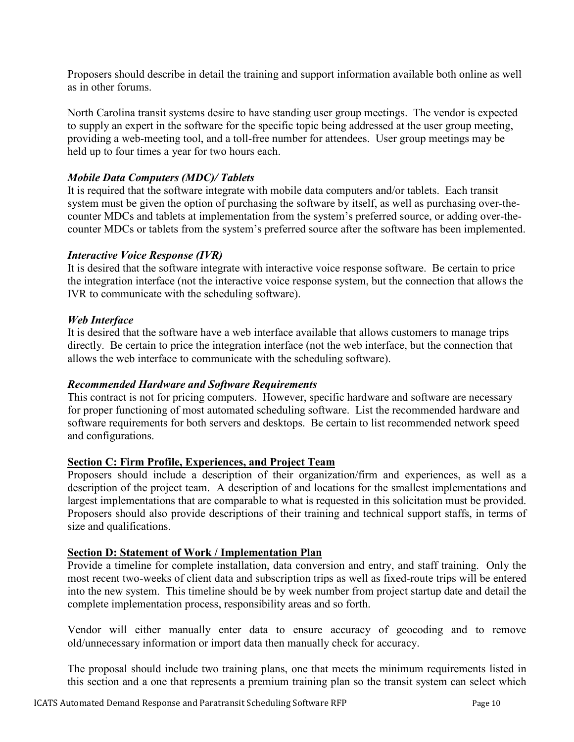Proposers should describe in detail the training and support information available both online as well as in other forums.

North Carolina transit systems desire to have standing user group meetings. The vendor is expected to supply an expert in the software for the specific topic being addressed at the user group meeting, providing a web-meeting tool, and a toll-free number for attendees. User group meetings may be held up to four times a year for two hours each.

## *Mobile Data Computers (MDC)/ Tablets*

It is required that the software integrate with mobile data computers and/or tablets. Each transit system must be given the option of purchasing the software by itself, as well as purchasing over-thecounter MDCs and tablets at implementation from the system's preferred source, or adding over-thecounter MDCs or tablets from the system's preferred source after the software has been implemented.

### *Interactive Voice Response (IVR)*

It is desired that the software integrate with interactive voice response software. Be certain to price the integration interface (not the interactive voice response system, but the connection that allows the IVR to communicate with the scheduling software).

## *Web Interface*

It is desired that the software have a web interface available that allows customers to manage trips directly. Be certain to price the integration interface (not the web interface, but the connection that allows the web interface to communicate with the scheduling software).

### *Recommended Hardware and Software Requirements*

This contract is not for pricing computers. However, specific hardware and software are necessary for proper functioning of most automated scheduling software. List the recommended hardware and software requirements for both servers and desktops. Be certain to list recommended network speed and configurations.

### **Section C: Firm Profile, Experiences, and Project Team**

Proposers should include a description of their organization/firm and experiences, as well as a description of the project team. A description of and locations for the smallest implementations and largest implementations that are comparable to what is requested in this solicitation must be provided. Proposers should also provide descriptions of their training and technical support staffs, in terms of size and qualifications.

### **Section D: Statement of Work / Implementation Plan**

Provide a timeline for complete installation, data conversion and entry, and staff training. Only the most recent two-weeks of client data and subscription trips as well as fixed-route trips will be entered into the new system. This timeline should be by week number from project startup date and detail the complete implementation process, responsibility areas and so forth.

Vendor will either manually enter data to ensure accuracy of geocoding and to remove old/unnecessary information or import data then manually check for accuracy.

The proposal should include two training plans, one that meets the minimum requirements listed in this section and a one that represents a premium training plan so the transit system can select which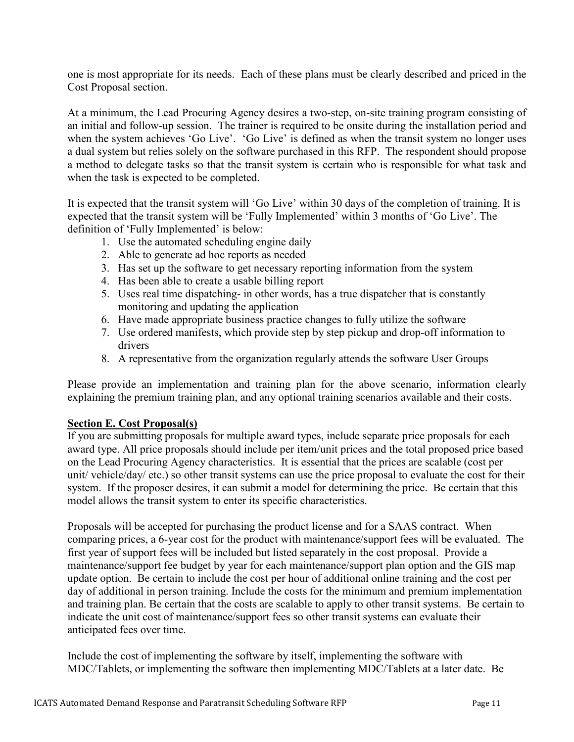one is most appropriate for its needs. Each of these plans must be clearly described and priced in the Cost Proposal section.

At a minimum, the Lead Procuring Agency desires a two-step, on-site training program consisting of an initial and follow-up session. The trainer is required to be onsite during the installation period and when the system achieves 'Go Live'. 'Go Live' is defined as when the transit system no longer uses a dual system but relies solely on the software purchased in this RFP. The respondent should propose a method to delegate tasks so that the transit system is certain who is responsible for what task and when the task is expected to be completed.

It is expected that the transit system will 'Go Live' within 30 days of the completion of training. It is expected that the transit system will be 'Fully Implemented' within 3 months of 'Go Live'. The definition of 'Fully Implemented' is below:

- 1. Use the automated scheduling engine daily
- 2. Able to generate ad hoc reports as needed
- 3. Has set up the software to get necessary reporting information from the system
- 4. Has been able to create a usable billing report
- 5. Uses real time dispatching- in other words, has a true dispatcher that is constantly monitoring and updating the application
- 6. Have made appropriate business practice changes to fully utilize the software
- 7. Use ordered manifests, which provide step by step pickup and drop-off information to drivers
- 8. A representative from the organization regularly attends the software User Groups

Please provide an implementation and training plan for the above scenario, information clearly explaining the premium training plan, and any optional training scenarios available and their costs.

## **Section E. Cost Proposal(s)**

If you are submitting proposals for multiple award types, include separate price proposals for each award type. All price proposals should include per item/unit prices and the total proposed price based on the Lead Procuring Agency characteristics. It is essential that the prices are scalable (cost per unit/ vehicle/day/ etc.) so other transit systems can use the price proposal to evaluate the cost for their system. If the proposer desires, it can submit a model for determining the price. Be certain that this model allows the transit system to enter its specific characteristics.

Proposals will be accepted for purchasing the product license and for a SAAS contract. When comparing prices, a 6-year cost for the product with maintenance/support fees will be evaluated. The first year of support fees will be included but listed separately in the cost proposal. Provide a maintenance/support fee budget by year for each maintenance/support plan option and the GIS map update option. Be certain to include the cost per hour of additional online training and the cost per day of additional in person training. Include the costs for the minimum and premium implementation and training plan. Be certain that the costs are scalable to apply to other transit systems. Be certain to indicate the unit cost of maintenance/support fees so other transit systems can evaluate their anticipated fees over time.

Include the cost of implementing the software by itself, implementing the software with MDC/Tablets, or implementing the software then implementing MDC/Tablets at a later date. Be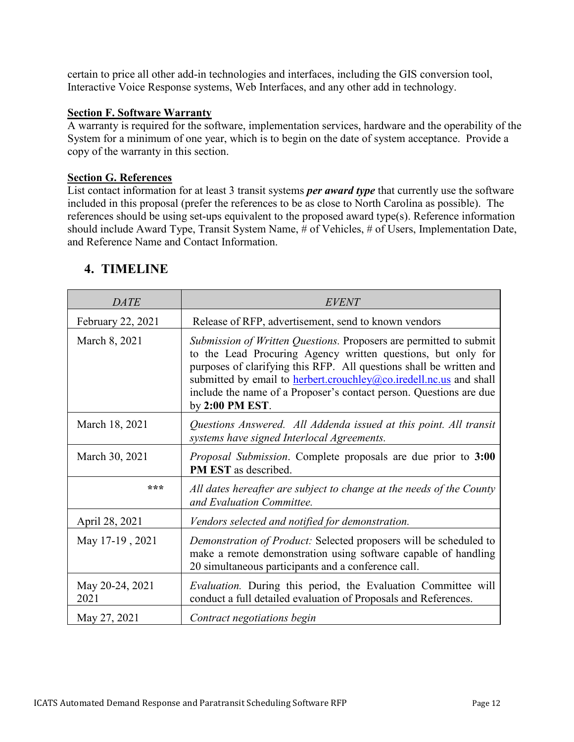certain to price all other add-in technologies and interfaces, including the GIS conversion tool, Interactive Voice Response systems, Web Interfaces, and any other add in technology.

### **Section F. Software Warranty**

A warranty is required for the software, implementation services, hardware and the operability of the System for a minimum of one year, which is to begin on the date of system acceptance. Provide a copy of the warranty in this section.

### **Section G. References**

List contact information for at least 3 transit systems *per award type* that currently use the software included in this proposal (prefer the references to be as close to North Carolina as possible). The references should be using set-ups equivalent to the proposed award type(s). Reference information should include Award Type, Transit System Name, # of Vehicles, # of Users, Implementation Date, and Reference Name and Contact Information.

| <b>DATE</b>             | <b>EVENT</b>                                                                                                                                                                                                                                                                                                                                                                    |
|-------------------------|---------------------------------------------------------------------------------------------------------------------------------------------------------------------------------------------------------------------------------------------------------------------------------------------------------------------------------------------------------------------------------|
| February 22, 2021       | Release of RFP, advertisement, send to known vendors                                                                                                                                                                                                                                                                                                                            |
| March 8, 2021           | Submission of Written Questions. Proposers are permitted to submit<br>to the Lead Procuring Agency written questions, but only for<br>purposes of clarifying this RFP. All questions shall be written and<br>submitted by email to <b>herbert.crouchley@co.iredell.nc.us</b> and shall<br>include the name of a Proposer's contact person. Questions are due<br>by 2:00 PM EST. |
| March 18, 2021          | Questions Answered. All Addenda issued at this point. All transit<br>systems have signed Interlocal Agreements.                                                                                                                                                                                                                                                                 |
| March 30, 2021          | Proposal Submission. Complete proposals are due prior to 3:00<br>PM EST as described.                                                                                                                                                                                                                                                                                           |
| ***                     | All dates hereafter are subject to change at the needs of the County<br>and Evaluation Committee.                                                                                                                                                                                                                                                                               |
| April 28, 2021          | Vendors selected and notified for demonstration.                                                                                                                                                                                                                                                                                                                                |
| May 17-19, 2021         | Demonstration of Product: Selected proposers will be scheduled to<br>make a remote demonstration using software capable of handling<br>20 simultaneous participants and a conference call.                                                                                                                                                                                      |
| May 20-24, 2021<br>2021 | Evaluation. During this period, the Evaluation Committee will<br>conduct a full detailed evaluation of Proposals and References.                                                                                                                                                                                                                                                |
| May 27, 2021            | Contract negotiations begin                                                                                                                                                                                                                                                                                                                                                     |

## **4. TIMELINE**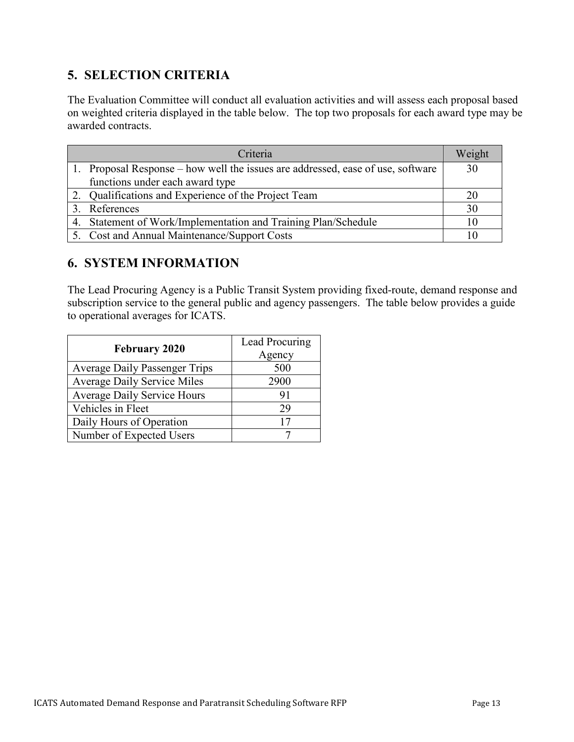## **5. SELECTION CRITERIA**

The Evaluation Committee will conduct all evaluation activities and will assess each proposal based on weighted criteria displayed in the table below. The top two proposals for each award type may be awarded contracts.

| Criteria                                                                        | Weight |
|---------------------------------------------------------------------------------|--------|
| 1. Proposal Response – how well the issues are addressed, ease of use, software | 30     |
| functions under each award type                                                 |        |
| 2. Qualifications and Experience of the Project Team                            | 20     |
| 3. References                                                                   | 30     |
| 4. Statement of Work/Implementation and Training Plan/Schedule                  | 10     |
| 5. Cost and Annual Maintenance/Support Costs                                    |        |

## **6. SYSTEM INFORMATION**

The Lead Procuring Agency is a Public Transit System providing fixed-route, demand response and subscription service to the general public and agency passengers. The table below provides a guide to operational averages for ICATS.

|                                      | Lead Procuring |  |  |
|--------------------------------------|----------------|--|--|
| <b>February 2020</b>                 | Agency         |  |  |
| <b>Average Daily Passenger Trips</b> | 500            |  |  |
| <b>Average Daily Service Miles</b>   | 2900           |  |  |
| <b>Average Daily Service Hours</b>   | 91             |  |  |
| Vehicles in Fleet                    | 29             |  |  |
| Daily Hours of Operation             | 17             |  |  |
| Number of Expected Users             |                |  |  |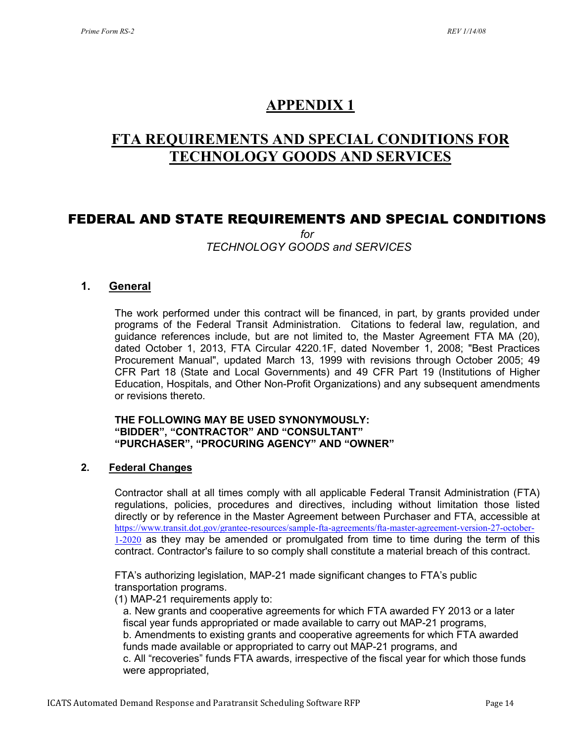## **APPENDIX 1**

## **FTA REQUIREMENTS AND SPECIAL CONDITIONS FOR TECHNOLOGY GOODS AND SERVICES**

## FEDERAL AND STATE REQUIREMENTS AND SPECIAL CONDITIONS

*for TECHNOLOGY GOODS and SERVICES*

## **1. General**

The work performed under this contract will be financed, in part, by grants provided under programs of the Federal Transit Administration. Citations to federal law, regulation, and guidance references include, but are not limited to, the Master Agreement FTA MA (20), dated October 1, 2013, FTA Circular 4220.1F, dated November 1, 2008; "Best Practices Procurement Manual", updated March 13, 1999 with revisions through October 2005; 49 CFR Part 18 (State and Local Governments) and 49 CFR Part 19 (Institutions of Higher Education, Hospitals, and Other Non-Profit Organizations) and any subsequent amendments or revisions thereto.

#### **THE FOLLOWING MAY BE USED SYNONYMOUSLY: "BIDDER", "CONTRACTOR" AND "CONSULTANT" "PURCHASER", "PROCURING AGENCY" AND "OWNER"**

### **2. Federal Changes**

Contractor shall at all times comply with all applicable Federal Transit Administration (FTA) regulations, policies, procedures and directives, including without limitation those listed directly or by reference in the Master Agreement between Purchaser and FTA, accessible at [https://www.transit.dot.gov/grantee-resources/sample-fta-agreements/fta-master-agreement-version-27-october-](https://www.transit.dot.gov/grantee-resources/sample-fta-agreements/fta-master-agreement-version-27-october-1-2020) $1-2020$  as they may be amended or promulgated from time to time during the term of this contract. Contractor's failure to so comply shall constitute a material breach of this contract.

FTA's authorizing legislation, MAP-21 made significant changes to FTA's public transportation programs.

(1) MAP-21 requirements apply to:

a. New grants and cooperative agreements for which FTA awarded FY 2013 or a later fiscal year funds appropriated or made available to carry out MAP-21 programs, b. Amendments to existing grants and cooperative agreements for which FTA awarded funds made available or appropriated to carry out MAP-21 programs, and c. All "recoveries" funds FTA awards, irrespective of the fiscal year for which those funds were appropriated,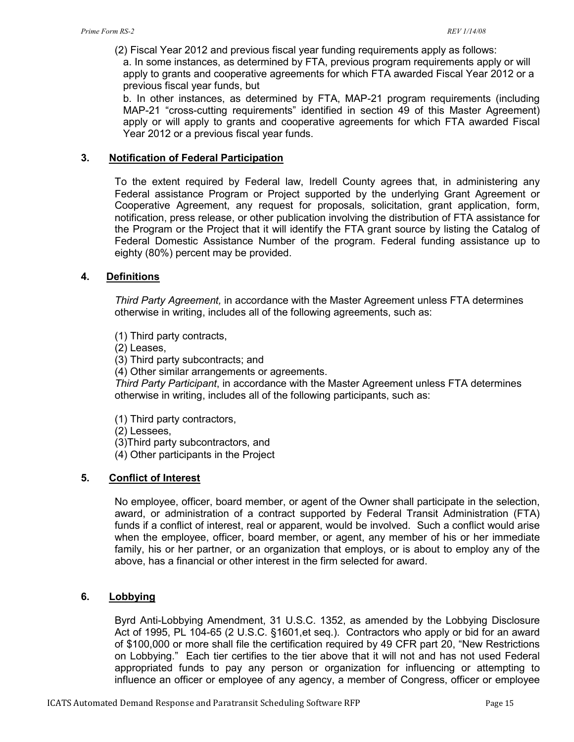(2) Fiscal Year 2012 and previous fiscal year funding requirements apply as follows:

a. In some instances, as determined by FTA, previous program requirements apply or will apply to grants and cooperative agreements for which FTA awarded Fiscal Year 2012 or a previous fiscal year funds, but

b. In other instances, as determined by FTA, MAP-21 program requirements (including MAP-21 "cross-cutting requirements" identified in section 49 of this Master Agreement) apply or will apply to grants and cooperative agreements for which FTA awarded Fiscal Year 2012 or a previous fiscal year funds.

#### **3. Notification of Federal Participation**

To the extent required by Federal law, Iredell County agrees that, in administering any Federal assistance Program or Project supported by the underlying Grant Agreement or Cooperative Agreement, any request for proposals, solicitation, grant application, form, notification, press release, or other publication involving the distribution of FTA assistance for the Program or the Project that it will identify the FTA grant source by listing the Catalog of Federal Domestic Assistance Number of the program. Federal funding assistance up to eighty (80%) percent may be provided.

#### **4. Definitions**

*Third Party Agreement,* in accordance with the Master Agreement unless FTA determines otherwise in writing, includes all of the following agreements, such as:

(1) Third party contracts,

(2) Leases,

(3) Third party subcontracts; and

(4) Other similar arrangements or agreements.

*Third Party Participant*, in accordance with the Master Agreement unless FTA determines otherwise in writing, includes all of the following participants, such as:

(1) Third party contractors,

(2) Lessees,

(3)Third party subcontractors, and

(4) Other participants in the Project

### **5. Conflict of Interest**

No employee, officer, board member, or agent of the Owner shall participate in the selection, award, or administration of a contract supported by Federal Transit Administration (FTA) funds if a conflict of interest, real or apparent, would be involved. Such a conflict would arise when the employee, officer, board member, or agent, any member of his or her immediate family, his or her partner, or an organization that employs, or is about to employ any of the above, has a financial or other interest in the firm selected for award.

### **6. Lobbying**

Byrd Anti-Lobbying Amendment, 31 U.S.C. 1352, as amended by the Lobbying Disclosure Act of 1995, PL 104-65 (2 U.S.C. §1601,et seq.). Contractors who apply or bid for an award of \$100,000 or more shall file the certification required by 49 CFR part 20, "New Restrictions on Lobbying." Each tier certifies to the tier above that it will not and has not used Federal appropriated funds to pay any person or organization for influencing or attempting to influence an officer or employee of any agency, a member of Congress, officer or employee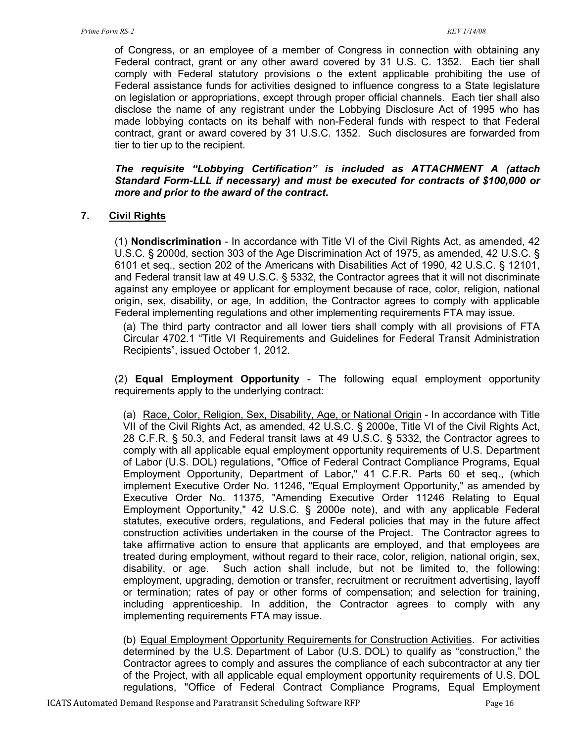of Congress, or an employee of a member of Congress in connection with obtaining any Federal contract, grant or any other award covered by 31 U.S. C. 1352. Each tier shall comply with Federal statutory provisions o the extent applicable prohibiting the use of Federal assistance funds for activities designed to influence congress to a State legislature on legislation or appropriations, except through proper official channels. Each tier shall also disclose the name of any registrant under the Lobbying Disclosure Act of 1995 who has made lobbying contacts on its behalf with non-Federal funds with respect to that Federal contract, grant or award covered by 31 U.S.C. 1352. Such disclosures are forwarded from tier to tier up to the recipient.

*The requisite "Lobbying Certification" is included as ATTACHMENT A (attach Standard Form-LLL if necessary) and must be executed for contracts of \$100,000 or more and prior to the award of the contract.*

## **7. Civil Rights**

(1) **Nondiscrimination** - In accordance with Title VI of the Civil Rights Act, as amended, 42 U.S.C. § 2000d, section 303 of the Age Discrimination Act of 1975, as amended, 42 U.S.C. § 6101 et seq., section 202 of the Americans with Disabilities Act of 1990, 42 U.S.C. § 12101, and Federal transit law at 49 U.S.C. § 5332, the Contractor agrees that it will not discriminate against any employee or applicant for employment because of race, color, religion, national origin, sex, disability, or age, In addition, the Contractor agrees to comply with applicable Federal implementing regulations and other implementing requirements FTA may issue.

(a) The third party contractor and all lower tiers shall comply with all provisions of FTA Circular 4702.1 "Title VI Requirements and Guidelines for Federal Transit Administration Recipients", issued October 1, 2012.

(2) **Equal Employment Opportunity** - The following equal employment opportunity requirements apply to the underlying contract:

(a) Race, Color, Religion, Sex, Disability, Age, or National Origin - In accordance with Title VII of the Civil Rights Act, as amended, 42 U.S.C. § 2000e, Title VI of the Civil Rights Act, 28 C.F.R. § 50.3, and Federal transit laws at 49 U.S.C. § 5332, the Contractor agrees to comply with all applicable equal employment opportunity requirements of U.S. Department of Labor (U.S. DOL) regulations, "Office of Federal Contract Compliance Programs, Equal Employment Opportunity, Department of Labor," 41 C.F.R. Parts 60 et seq., (which implement Executive Order No. 11246, "Equal Employment Opportunity," as amended by Executive Order No. 11375, "Amending Executive Order 11246 Relating to Equal Employment Opportunity," 42 U.S.C. § 2000e note), and with any applicable Federal statutes, executive orders, regulations, and Federal policies that may in the future affect construction activities undertaken in the course of the Project. The Contractor agrees to take affirmative action to ensure that applicants are employed, and that employees are treated during employment, without regard to their race, color, religion, national origin, sex, disability, or age. Such action shall include, but not be limited to, the following: employment, upgrading, demotion or transfer, recruitment or recruitment advertising, layoff or termination; rates of pay or other forms of compensation; and selection for training, including apprenticeship. In addition, the Contractor agrees to comply with any implementing requirements FTA may issue.

(b) Equal Employment Opportunity Requirements for Construction Activities. For activities determined by the U.S. Department of Labor (U.S. DOL) to qualify as "construction," the Contractor agrees to comply and assures the compliance of each subcontractor at any tier of the Project, with all applicable equal employment opportunity requirements of U.S. DOL regulations, "Office of Federal Contract Compliance Programs, Equal Employment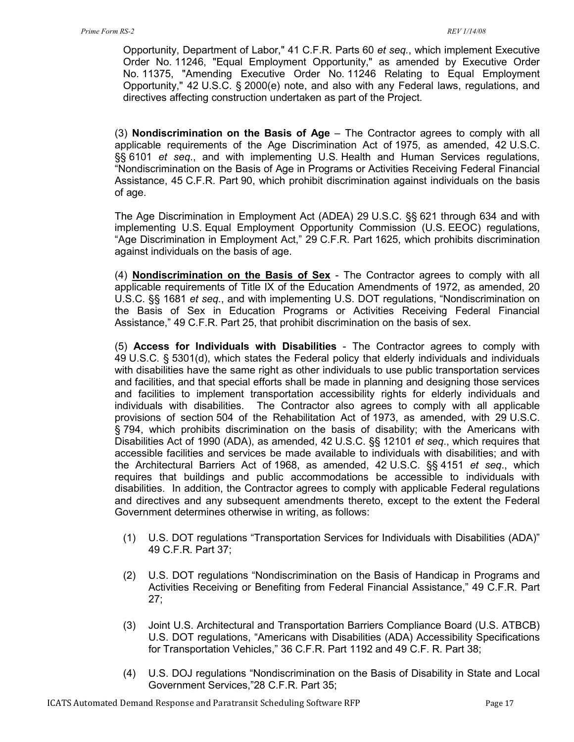Opportunity, Department of Labor," 41 C.F.R. Parts 60 *et seq.*, which implement Executive Order No. 11246, "Equal Employment Opportunity," as amended by Executive Order No. 11375, "Amending Executive Order No. 11246 Relating to Equal Employment Opportunity," 42 U.S.C. § 2000(e) note, and also with any Federal laws, regulations, and directives affecting construction undertaken as part of the Project.

(3) **Nondiscrimination on the Basis of Age** – The Contractor agrees to comply with all applicable requirements of the Age Discrimination Act of 1975, as amended, 42 U.S.C. §§ 6101 *et seq*., and with implementing U.S. Health and Human Services regulations, "Nondiscrimination on the Basis of Age in Programs or Activities Receiving Federal Financial Assistance, 45 C.F.R. Part 90, which prohibit discrimination against individuals on the basis of age.

The Age Discrimination in Employment Act (ADEA) 29 U.S.C. §§ 621 through 634 and with implementing U.S. Equal Employment Opportunity Commission (U.S. EEOC) regulations, "Age Discrimination in Employment Act," 29 C.F.R. Part 1625, which prohibits discrimination against individuals on the basis of age.

(4) **Nondiscrimination on the Basis of Sex** - The Contractor agrees to comply with all applicable requirements of Title IX of the Education Amendments of 1972, as amended, 20 U.S.C. §§ 1681 *et seq.*, and with implementing U.S. DOT regulations, "Nondiscrimination on the Basis of Sex in Education Programs or Activities Receiving Federal Financial Assistance," 49 C.F.R. Part 25, that prohibit discrimination on the basis of sex.

(5) **Access for Individuals with Disabilities** - The Contractor agrees to comply with 49 U.S.C. § 5301(d), which states the Federal policy that elderly individuals and individuals with disabilities have the same right as other individuals to use public transportation services and facilities, and that special efforts shall be made in planning and designing those services and facilities to implement transportation accessibility rights for elderly individuals and individuals with disabilities. The Contractor also agrees to comply with all applicable provisions of section 504 of the Rehabilitation Act of 1973, as amended, with 29 U.S.C. § 794, which prohibits discrimination on the basis of disability; with the Americans with Disabilities Act of 1990 (ADA), as amended, 42 U.S.C. §§ 12101 *et seq*., which requires that accessible facilities and services be made available to individuals with disabilities; and with the Architectural Barriers Act of 1968, as amended, 42 U.S.C. §§ 4151 *et seq*., which requires that buildings and public accommodations be accessible to individuals with disabilities. In addition, the Contractor agrees to comply with applicable Federal regulations and directives and any subsequent amendments thereto, except to the extent the Federal Government determines otherwise in writing, as follows:

- (1) U.S. DOT regulations "Transportation Services for Individuals with Disabilities (ADA)" 49 C.F.R. Part 37;
- (2) U.S. DOT regulations "Nondiscrimination on the Basis of Handicap in Programs and Activities Receiving or Benefiting from Federal Financial Assistance," 49 C.F.R. Part 27;
- (3) Joint U.S. Architectural and Transportation Barriers Compliance Board (U.S. ATBCB) U.S. DOT regulations, "Americans with Disabilities (ADA) Accessibility Specifications for Transportation Vehicles," 36 C.F.R. Part 1192 and 49 C.F. R. Part 38;
- (4) U.S. DOJ regulations "Nondiscrimination on the Basis of Disability in State and Local Government Services,"28 C.F.R. Part 35;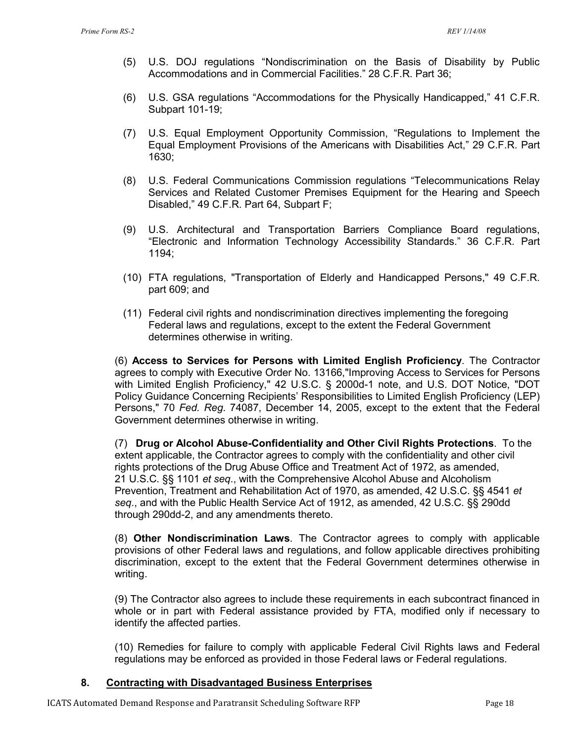- (5) U.S. DOJ regulations "Nondiscrimination on the Basis of Disability by Public Accommodations and in Commercial Facilities." 28 C.F.R. Part 36;
- (6) U.S. GSA regulations "Accommodations for the Physically Handicapped," 41 C.F.R. Subpart 101-19;
- (7) U.S. Equal Employment Opportunity Commission, "Regulations to Implement the Equal Employment Provisions of the Americans with Disabilities Act," 29 C.F.R. Part 1630;
- (8) U.S. Federal Communications Commission regulations "Telecommunications Relay Services and Related Customer Premises Equipment for the Hearing and Speech Disabled," 49 C.F.R. Part 64, Subpart F;
- (9) U.S. Architectural and Transportation Barriers Compliance Board regulations, "Electronic and Information Technology Accessibility Standards." 36 C.F.R. Part 1194;
- (10) FTA regulations, "Transportation of Elderly and Handicapped Persons," 49 C.F.R. part 609; and
- (11) Federal civil rights and nondiscrimination directives implementing the foregoing Federal laws and regulations, except to the extent the Federal Government determines otherwise in writing.

(6) **Access to Services for Persons with Limited English Proficiency**. The Contractor agrees to comply with Executive Order No. 13166,"Improving Access to Services for Persons with Limited English Proficiency," 42 U.S.C. § 2000d-1 note, and U.S. DOT Notice, "DOT Policy Guidance Concerning Recipients' Responsibilities to Limited English Proficiency (LEP) Persons," 70 *Fed. Reg*. 74087, December 14, 2005, except to the extent that the Federal Government determines otherwise in writing.

(7) **Drug or Alcohol Abuse-Confidentiality and Other Civil Rights Protections**. To the extent applicable, the Contractor agrees to comply with the confidentiality and other civil rights protections of the Drug Abuse Office and Treatment Act of 1972, as amended, 21 U.S.C. §§ 1101 *et seq*., with the Comprehensive Alcohol Abuse and Alcoholism Prevention, Treatment and Rehabilitation Act of 1970, as amended, 42 U.S.C. §§ 4541 *et seq*., and with the Public Health Service Act of 1912, as amended, 42 U.S.C. §§ 290dd through 290dd-2, and any amendments thereto.

(8) **Other Nondiscrimination Laws**. The Contractor agrees to comply with applicable provisions of other Federal laws and regulations, and follow applicable directives prohibiting discrimination, except to the extent that the Federal Government determines otherwise in writing.

(9) The Contractor also agrees to include these requirements in each subcontract financed in whole or in part with Federal assistance provided by FTA, modified only if necessary to identify the affected parties.

(10) Remedies for failure to comply with applicable Federal Civil Rights laws and Federal regulations may be enforced as provided in those Federal laws or Federal regulations.

### **8. Contracting with Disadvantaged Business Enterprises**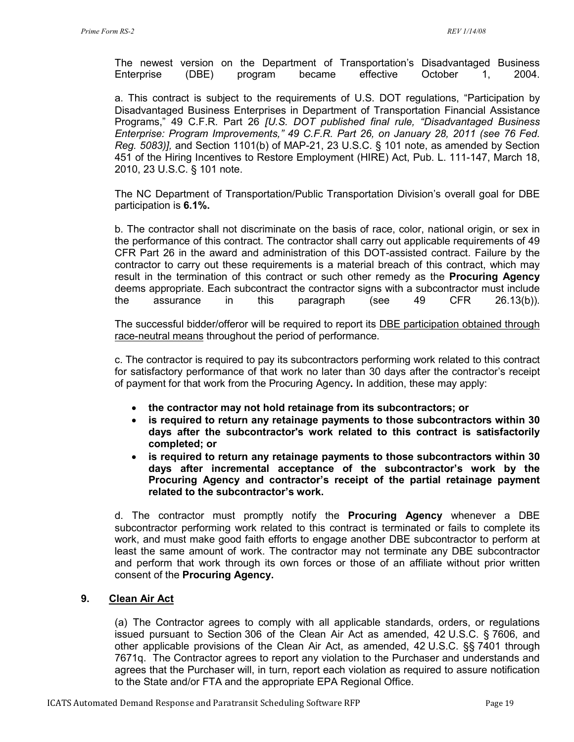The newest version on the Department of Transportation's Disadvantaged Business Enterprise (DBE) program became effective October 1, 2004.

a. This contract is subject to the requirements of U.S. DOT regulations, "Participation by Disadvantaged Business Enterprises in Department of Transportation Financial Assistance Programs," 49 C.F.R. Part 26 *[U.S. DOT published final rule, "Disadvantaged Business Enterprise: Program Improvements," 49 C.F.R. Part 26, on January 28, 2011 (see 76 Fed. Reg. 5083)],* and Section 1101(b) of MAP-21, 23 U.S.C. § 101 note, as amended by Section 451 of the Hiring Incentives to Restore Employment (HIRE) Act, Pub. L. 111-147, March 18, 2010, 23 U.S.C. § 101 note.

The NC Department of Transportation/Public Transportation Division's overall goal for DBE participation is **6.1%.**

b. The contractor shall not discriminate on the basis of race, color, national origin, or sex in the performance of this contract. The contractor shall carry out applicable requirements of 49 CFR Part 26 in the award and administration of this DOT-assisted contract. Failure by the contractor to carry out these requirements is a material breach of this contract, which may result in the termination of this contract or such other remedy as the **Procuring Agency**  deems appropriate. Each subcontract the contractor signs with a subcontractor must include the assurance in this paragraph (see 49 CFR 26.13(b)).

The successful bidder/offeror will be required to report its DBE participation obtained through race-neutral means throughout the period of performance.

c. The contractor is required to pay its subcontractors performing work related to this contract for satisfactory performance of that work no later than 30 days after the contractor's receipt of payment for that work from the Procuring Agency**.** In addition, these may apply:

- **the contractor may not hold retainage from its subcontractors; or**
- **is required to return any retainage payments to those subcontractors within 30 days after the subcontractor's work related to this contract is satisfactorily completed; or**
- **is required to return any retainage payments to those subcontractors within 30 days after incremental acceptance of the subcontractor's work by the Procuring Agency and contractor's receipt of the partial retainage payment related to the subcontractor's work.**

d. The contractor must promptly notify the **Procuring Agency** whenever a DBE subcontractor performing work related to this contract is terminated or fails to complete its work, and must make good faith efforts to engage another DBE subcontractor to perform at least the same amount of work. The contractor may not terminate any DBE subcontractor and perform that work through its own forces or those of an affiliate without prior written consent of the **Procuring Agency.**

### **9. Clean Air Act**

(a) The Contractor agrees to comply with all applicable standards, orders, or regulations issued pursuant to Section 306 of the Clean Air Act as amended, 42 U.S.C. § 7606, and other applicable provisions of the Clean Air Act, as amended, 42 U.S.C. §§ 7401 through 7671q. The Contractor agrees to report any violation to the Purchaser and understands and agrees that the Purchaser will, in turn, report each violation as required to assure notification to the State and/or FTA and the appropriate EPA Regional Office.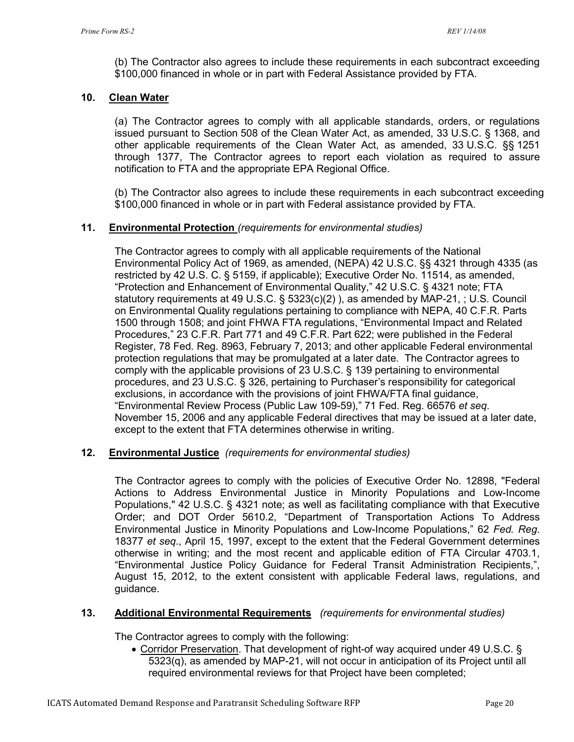(b) The Contractor also agrees to include these requirements in each subcontract exceeding \$100,000 financed in whole or in part with Federal Assistance provided by FTA.

## **10. Clean Water**

(a) The Contractor agrees to comply with all applicable standards, orders, or regulations issued pursuant to Section 508 of the Clean Water Act, as amended, 33 U.S.C. § 1368, and other applicable requirements of the Clean Water Act, as amended, 33 U.S.C. §§ 1251 through 1377, The Contractor agrees to report each violation as required to assure notification to FTA and the appropriate EPA Regional Office.

(b) The Contractor also agrees to include these requirements in each subcontract exceeding \$100,000 financed in whole or in part with Federal assistance provided by FTA.

## **11. Environmental Protection** *(requirements for environmental studies)*

The Contractor agrees to comply with all applicable requirements of the National Environmental Policy Act of 1969, as amended, (NEPA) 42 U.S.C. §§ 4321 through 4335 (as restricted by 42 U.S. C. § 5159, if applicable); Executive Order No. 11514, as amended, "Protection and Enhancement of Environmental Quality," 42 U.S.C. § 4321 note; FTA statutory requirements at 49 U.S.C. § 5323(c)(2) ), as amended by MAP-21, ; U.S. Council on Environmental Quality regulations pertaining to compliance with NEPA, 40 C.F.R. Parts 1500 through 1508; and joint FHWA FTA regulations, "Environmental Impact and Related Procedures," 23 C.F.R. Part 771 and 49 C.F.R. Part 622; were published in the Federal Register, 78 Fed. Reg. 8963, February 7, 2013; and other applicable Federal environmental protection regulations that may be promulgated at a later date. The Contractor agrees to comply with the applicable provisions of 23 U.S.C. § 139 pertaining to environmental procedures, and 23 U.S.C. § 326, pertaining to Purchaser's responsibility for categorical exclusions, in accordance with the provisions of joint FHWA/FTA final guidance, "Environmental Review Process (Public Law 109-59)," 71 Fed. Reg. 66576 *et seq*. November 15, 2006 and any applicable Federal directives that may be issued at a later date, except to the extent that FTA determines otherwise in writing.

### **12. Environmental Justice** *(requirements for environmental studies)*

The Contractor agrees to comply with the policies of Executive Order No. 12898, "Federal Actions to Address Environmental Justice in Minority Populations and Low-Income Populations," 42 U.S.C. § 4321 note; as well as facilitating compliance with that Executive Order; and DOT Order 5610.2, "Department of Transportation Actions To Address Environmental Justice in Minority Populations and Low-Income Populations," 62 *Fed. Reg*. 18377 *et seq*., April 15, 1997, except to the extent that the Federal Government determines otherwise in writing; and the most recent and applicable edition of FTA Circular 4703.1, "Environmental Justice Policy Guidance for Federal Transit Administration Recipients,", August 15, 2012, to the extent consistent with applicable Federal laws, regulations, and guidance.

### **13. Additional Environmental Requirements** *(requirements for environmental studies)*

The Contractor agrees to comply with the following:

• Corridor Preservation. That development of right-of way acquired under 49 U.S.C. § 5323(q), as amended by MAP-21, will not occur in anticipation of its Project until all required environmental reviews for that Project have been completed;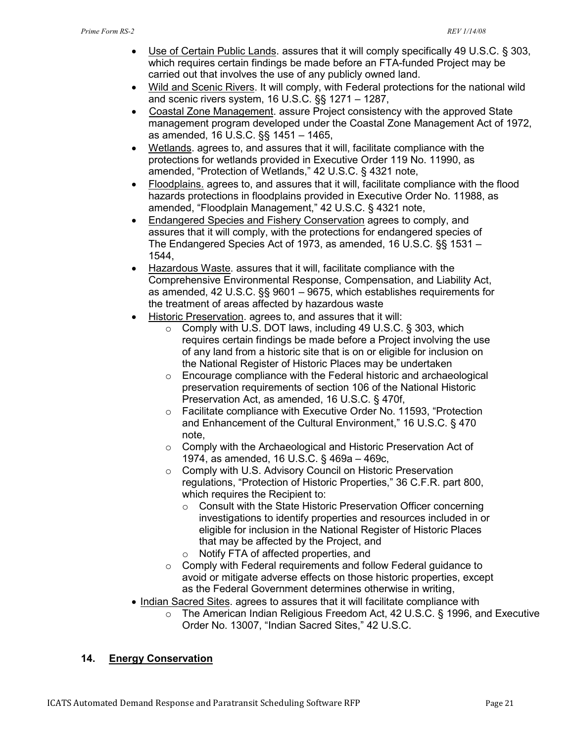- Use of Certain Public Lands. assures that it will comply specifically 49 U.S.C. § 303, which requires certain findings be made before an FTA-funded Project may be carried out that involves the use of any publicly owned land.
- Wild and Scenic Rivers. It will comply, with Federal protections for the national wild and scenic rivers system, 16 U.S.C. §§ 1271 – 1287,
- Coastal Zone Management. assure Project consistency with the approved State management program developed under the Coastal Zone Management Act of 1972, as amended, 16 U.S.C. §§ 1451 – 1465,
- Wetlands. agrees to, and assures that it will, facilitate compliance with the protections for wetlands provided in Executive Order 119 No. 11990, as amended, "Protection of Wetlands," 42 U.S.C. § 4321 note,
- Floodplains. agrees to, and assures that it will, facilitate compliance with the flood hazards protections in floodplains provided in Executive Order No. 11988, as amended, "Floodplain Management," 42 U.S.C. § 4321 note,
- Endangered Species and Fishery Conservation agrees to comply, and assures that it will comply, with the protections for endangered species of The Endangered Species Act of 1973, as amended, 16 U.S.C. §§ 1531 – 1544,
- Hazardous Waste. assures that it will, facilitate compliance with the Comprehensive Environmental Response, Compensation, and Liability Act, as amended, 42 U.S.C. §§ 9601 – 9675, which establishes requirements for the treatment of areas affected by hazardous waste
- Historic Preservation. agrees to, and assures that it will:
	- o Comply with U.S. DOT laws, including 49 U.S.C. § 303, which requires certain findings be made before a Project involving the use of any land from a historic site that is on or eligible for inclusion on the National Register of Historic Places may be undertaken
	- o Encourage compliance with the Federal historic and archaeological preservation requirements of section 106 of the National Historic Preservation Act, as amended, 16 U.S.C. § 470f,
	- o Facilitate compliance with Executive Order No. 11593, "Protection and Enhancement of the Cultural Environment," 16 U.S.C. § 470 note,
	- o Comply with the Archaeological and Historic Preservation Act of 1974, as amended, 16 U.S.C. § 469a – 469c,
	- o Comply with U.S. Advisory Council on Historic Preservation regulations, "Protection of Historic Properties," 36 C.F.R. part 800, which requires the Recipient to:
		- o Consult with the State Historic Preservation Officer concerning investigations to identify properties and resources included in or eligible for inclusion in the National Register of Historic Places that may be affected by the Project, and
		- Notify FTA of affected properties, and
	- o Comply with Federal requirements and follow Federal guidance to avoid or mitigate adverse effects on those historic properties, except as the Federal Government determines otherwise in writing,
- Indian Sacred Sites. agrees to assures that it will facilitate compliance with
	- o The American Indian Religious Freedom Act, 42 U.S.C. § 1996, and Executive Order No. 13007, "Indian Sacred Sites," 42 U.S.C.

## **14. Energy Conservation**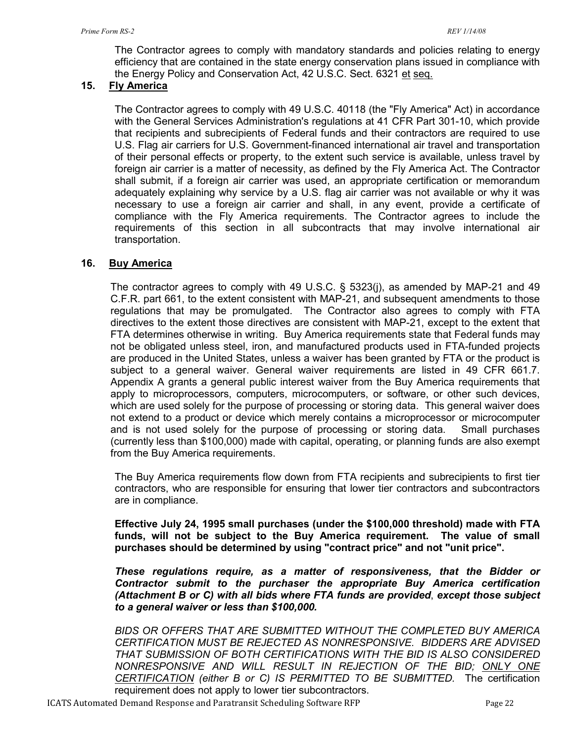The Contractor agrees to comply with mandatory standards and policies relating to energy efficiency that are contained in the state energy conservation plans issued in compliance with the Energy Policy and Conservation Act, 42 U.S.C. Sect. 6321 et seq.

## **15. Fly America**

The Contractor agrees to comply with 49 U.S.C. 40118 (the "Fly America" Act) in accordance with the General Services Administration's regulations at 41 CFR Part 301-10, which provide that recipients and subrecipients of Federal funds and their contractors are required to use U.S. Flag air carriers for U.S. Government-financed international air travel and transportation of their personal effects or property, to the extent such service is available, unless travel by foreign air carrier is a matter of necessity, as defined by the Fly America Act. The Contractor shall submit, if a foreign air carrier was used, an appropriate certification or memorandum adequately explaining why service by a U.S. flag air carrier was not available or why it was necessary to use a foreign air carrier and shall, in any event, provide a certificate of compliance with the Fly America requirements. The Contractor agrees to include the requirements of this section in all subcontracts that may involve international air transportation.

### **16. Buy America**

The contractor agrees to comply with 49 U.S.C. § 5323(j), as amended by MAP-21 and 49 C.F.R. part 661, to the extent consistent with MAP-21, and subsequent amendments to those regulations that may be promulgated. The Contractor also agrees to comply with FTA directives to the extent those directives are consistent with MAP-21, except to the extent that FTA determines otherwise in writing. Buy America requirements state that Federal funds may not be obligated unless steel, iron, and manufactured products used in FTA-funded projects are produced in the United States, unless a waiver has been granted by FTA or the product is subject to a general waiver. General waiver requirements are listed in 49 CFR 661.7. Appendix A grants a general public interest waiver from the Buy America requirements that apply to microprocessors, computers, microcomputers, or software, or other such devices, which are used solely for the purpose of processing or storing data. This general waiver does not extend to a product or device which merely contains a microprocessor or microcomputer and is not used solely for the purpose of processing or storing data. Small purchases (currently less than \$100,000) made with capital, operating, or planning funds are also exempt from the Buy America requirements.

The Buy America requirements flow down from FTA recipients and subrecipients to first tier contractors, who are responsible for ensuring that lower tier contractors and subcontractors are in compliance.

**Effective July 24, 1995 small purchases (under the \$100,000 threshold) made with FTA funds, will not be subject to the Buy America requirement. The value of small purchases should be determined by using "contract price" and not "unit price".** 

*These regulations require, as a matter of responsiveness, that the Bidder or Contractor submit to the purchaser the appropriate Buy America certification (Attachment B or C) with all bids where FTA funds are provided*, *except those subject to a general waiver or less than \$100,000.* 

*BIDS OR OFFERS THAT ARE SUBMITTED WITHOUT THE COMPLETED BUY AMERICA CERTIFICATION MUST BE REJECTED AS NONRESPONSIVE. BIDDERS ARE ADVISED THAT SUBMISSION OF BOTH CERTIFICATIONS WITH THE BID IS ALSO CONSIDERED NONRESPONSIVE AND WILL RESULT IN REJECTION OF THE BID; ONLY ONE CERTIFICATION (either B or C) IS PERMITTED TO BE SUBMITTED.* The certification requirement does not apply to lower tier subcontractors.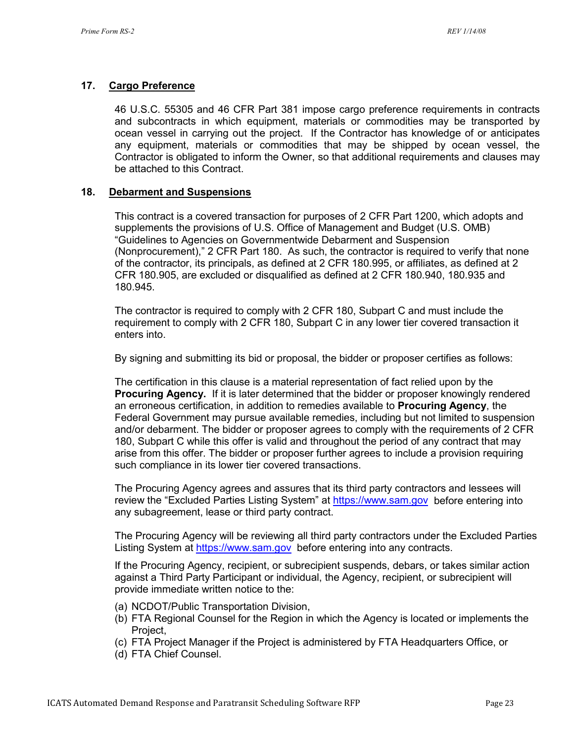#### **17. Cargo Preference**

46 U.S.C. 55305 and 46 CFR Part 381 impose cargo preference requirements in contracts and subcontracts in which equipment, materials or commodities may be transported by ocean vessel in carrying out the project. If the Contractor has knowledge of or anticipates any equipment, materials or commodities that may be shipped by ocean vessel, the Contractor is obligated to inform the Owner, so that additional requirements and clauses may be attached to this Contract.

#### **18. Debarment and Suspensions**

This contract is a covered transaction for purposes of 2 CFR Part 1200, which adopts and supplements the provisions of U.S. Office of Management and Budget (U.S. OMB) "Guidelines to Agencies on Governmentwide Debarment and Suspension (Nonprocurement)," 2 CFR Part 180. As such, the contractor is required to verify that none of the contractor, its principals, as defined at 2 CFR 180.995, or affiliates, as defined at 2 CFR 180.905, are excluded or disqualified as defined at 2 CFR 180.940, 180.935 and 180.945.

The contractor is required to comply with 2 CFR 180, Subpart C and must include the requirement to comply with 2 CFR 180, Subpart C in any lower tier covered transaction it enters into.

By signing and submitting its bid or proposal, the bidder or proposer certifies as follows:

The certification in this clause is a material representation of fact relied upon by the **Procuring Agency.** If it is later determined that the bidder or proposer knowingly rendered an erroneous certification, in addition to remedies available to **Procuring Agency**, the Federal Government may pursue available remedies, including but not limited to suspension and/or debarment. The bidder or proposer agrees to comply with the requirements of 2 CFR 180, Subpart C while this offer is valid and throughout the period of any contract that may arise from this offer. The bidder or proposer further agrees to include a provision requiring such compliance in its lower tier covered transactions.

The Procuring Agency agrees and assures that its third party contractors and lessees will review the "Excluded Parties Listing System" at [https://www.sam.gov](https://www.sam.gov/) before entering into any subagreement, lease or third party contract.

The Procuring Agency will be reviewing all third party contractors under the Excluded Parties Listing System at [https://www.sam.gov](https://www.sam.gov/) before entering into any contracts.

If the Procuring Agency, recipient, or subrecipient suspends, debars, or takes similar action against a Third Party Participant or individual, the Agency, recipient, or subrecipient will provide immediate written notice to the:

- (a) NCDOT/Public Transportation Division,
- (b) FTA Regional Counsel for the Region in which the Agency is located or implements the Project,
- (c) FTA Project Manager if the Project is administered by FTA Headquarters Office, or
- (d) FTA Chief Counsel.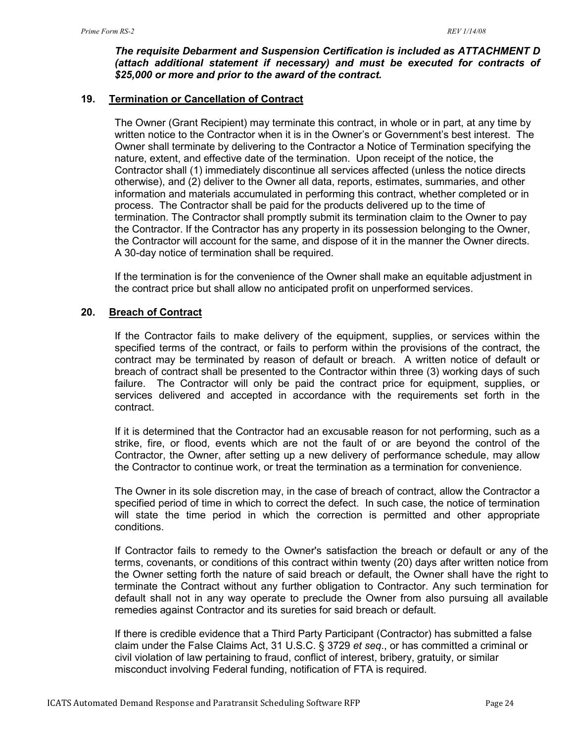#### *The requisite Debarment and Suspension Certification is included as ATTACHMENT D (attach additional statement if necessary) and must be executed for contracts of \$25,000 or more and prior to the award of the contract.*

#### **19. Termination or Cancellation of Contract**

The Owner (Grant Recipient) may terminate this contract, in whole or in part, at any time by written notice to the Contractor when it is in the Owner's or Government's best interest. The Owner shall terminate by delivering to the Contractor a Notice of Termination specifying the nature, extent, and effective date of the termination. Upon receipt of the notice, the Contractor shall (1) immediately discontinue all services affected (unless the notice directs otherwise), and (2) deliver to the Owner all data, reports, estimates, summaries, and other information and materials accumulated in performing this contract, whether completed or in process. The Contractor shall be paid for the products delivered up to the time of termination. The Contractor shall promptly submit its termination claim to the Owner to pay the Contractor. If the Contractor has any property in its possession belonging to the Owner, the Contractor will account for the same, and dispose of it in the manner the Owner directs. A 30-day notice of termination shall be required.

If the termination is for the convenience of the Owner shall make an equitable adjustment in the contract price but shall allow no anticipated profit on unperformed services.

### **20. Breach of Contract**

If the Contractor fails to make delivery of the equipment, supplies, or services within the specified terms of the contract, or fails to perform within the provisions of the contract, the contract may be terminated by reason of default or breach. A written notice of default or breach of contract shall be presented to the Contractor within three (3) working days of such failure. The Contractor will only be paid the contract price for equipment, supplies, or services delivered and accepted in accordance with the requirements set forth in the contract.

If it is determined that the Contractor had an excusable reason for not performing, such as a strike, fire, or flood, events which are not the fault of or are beyond the control of the Contractor, the Owner, after setting up a new delivery of performance schedule, may allow the Contractor to continue work, or treat the termination as a termination for convenience.

The Owner in its sole discretion may, in the case of breach of contract, allow the Contractor a specified period of time in which to correct the defect. In such case, the notice of termination will state the time period in which the correction is permitted and other appropriate conditions.

If Contractor fails to remedy to the Owner's satisfaction the breach or default or any of the terms, covenants, or conditions of this contract within twenty (20) days after written notice from the Owner setting forth the nature of said breach or default, the Owner shall have the right to terminate the Contract without any further obligation to Contractor. Any such termination for default shall not in any way operate to preclude the Owner from also pursuing all available remedies against Contractor and its sureties for said breach or default.

If there is credible evidence that a Third Party Participant (Contractor) has submitted a false claim under the False Claims Act, 31 U.S.C. § 3729 *et seq*., or has committed a criminal or civil violation of law pertaining to fraud, conflict of interest, bribery, gratuity, or similar misconduct involving Federal funding, notification of FTA is required.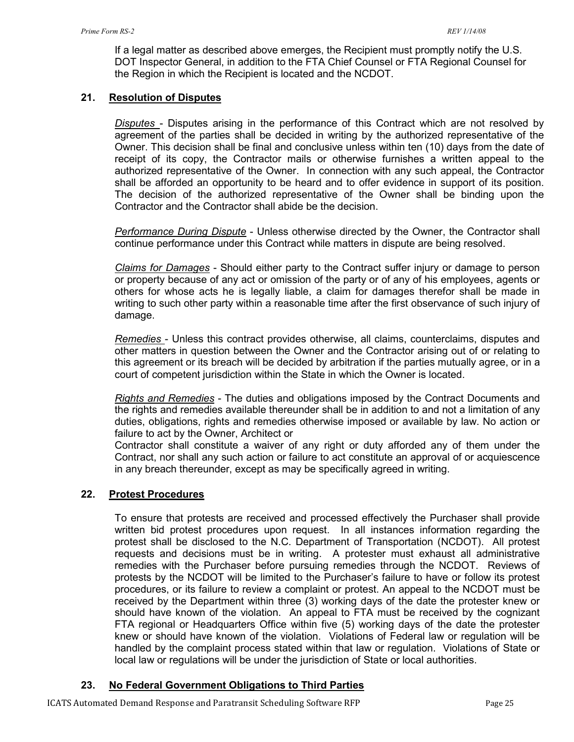If a legal matter as described above emerges, the Recipient must promptly notify the U.S. DOT Inspector General, in addition to the FTA Chief Counsel or FTA Regional Counsel for the Region in which the Recipient is located and the NCDOT.

### **21. Resolution of Disputes**

*Disputes* - Disputes arising in the performance of this Contract which are not resolved by agreement of the parties shall be decided in writing by the authorized representative of the Owner. This decision shall be final and conclusive unless within ten (10) days from the date of receipt of its copy, the Contractor mails or otherwise furnishes a written appeal to the authorized representative of the Owner. In connection with any such appeal, the Contractor shall be afforded an opportunity to be heard and to offer evidence in support of its position. The decision of the authorized representative of the Owner shall be binding upon the Contractor and the Contractor shall abide be the decision.

*Performance During Dispute* - Unless otherwise directed by the Owner, the Contractor shall continue performance under this Contract while matters in dispute are being resolved.

*Claims for Damages* - Should either party to the Contract suffer injury or damage to person or property because of any act or omission of the party or of any of his employees, agents or others for whose acts he is legally liable, a claim for damages therefor shall be made in writing to such other party within a reasonable time after the first observance of such injury of damage.

*Remedies* - Unless this contract provides otherwise, all claims, counterclaims, disputes and other matters in question between the Owner and the Contractor arising out of or relating to this agreement or its breach will be decided by arbitration if the parties mutually agree, or in a court of competent jurisdiction within the State in which the Owner is located.

*Rights and Remedies* - The duties and obligations imposed by the Contract Documents and the rights and remedies available thereunder shall be in addition to and not a limitation of any duties, obligations, rights and remedies otherwise imposed or available by law. No action or failure to act by the Owner, Architect or

Contractor shall constitute a waiver of any right or duty afforded any of them under the Contract, nor shall any such action or failure to act constitute an approval of or acquiescence in any breach thereunder, except as may be specifically agreed in writing.

### **22. Protest Procedures**

To ensure that protests are received and processed effectively the Purchaser shall provide written bid protest procedures upon request. In all instances information regarding the protest shall be disclosed to the N.C. Department of Transportation (NCDOT). All protest requests and decisions must be in writing. A protester must exhaust all administrative remedies with the Purchaser before pursuing remedies through the NCDOT. Reviews of protests by the NCDOT will be limited to the Purchaser's failure to have or follow its protest procedures, or its failure to review a complaint or protest. An appeal to the NCDOT must be received by the Department within three (3) working days of the date the protester knew or should have known of the violation. An appeal to FTA must be received by the cognizant FTA regional or Headquarters Office within five (5) working days of the date the protester knew or should have known of the violation. Violations of Federal law or regulation will be handled by the complaint process stated within that law or regulation. Violations of State or local law or regulations will be under the jurisdiction of State or local authorities.

## **23. No Federal Government Obligations to Third Parties**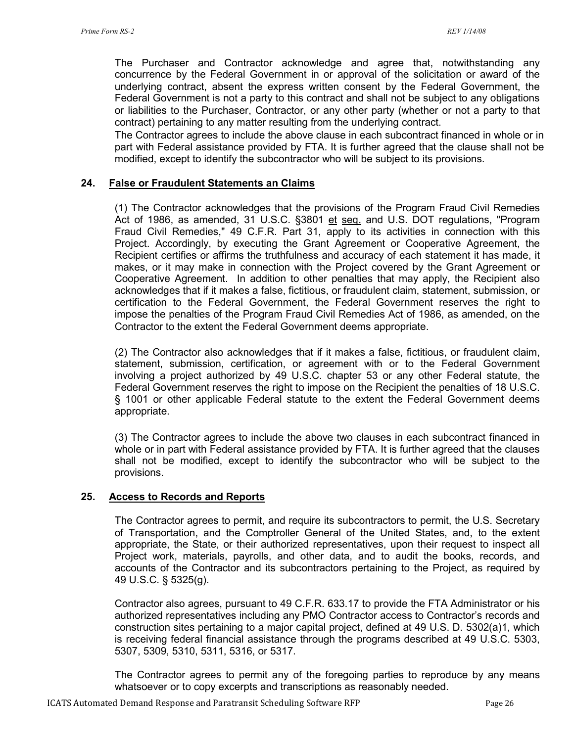The Purchaser and Contractor acknowledge and agree that, notwithstanding any concurrence by the Federal Government in or approval of the solicitation or award of the underlying contract, absent the express written consent by the Federal Government, the Federal Government is not a party to this contract and shall not be subject to any obligations or liabilities to the Purchaser, Contractor, or any other party (whether or not a party to that contract) pertaining to any matter resulting from the underlying contract.

The Contractor agrees to include the above clause in each subcontract financed in whole or in part with Federal assistance provided by FTA. It is further agreed that the clause shall not be modified, except to identify the subcontractor who will be subject to its provisions.

#### **24. False or Fraudulent Statements an Claims**

(1) The Contractor acknowledges that the provisions of the Program Fraud Civil Remedies Act of 1986, as amended, 31 U.S.C. §3801 et seq. and U.S. DOT regulations, "Program Fraud Civil Remedies," 49 C.F.R. Part 31, apply to its activities in connection with this Project. Accordingly, by executing the Grant Agreement or Cooperative Agreement, the Recipient certifies or affirms the truthfulness and accuracy of each statement it has made, it makes, or it may make in connection with the Project covered by the Grant Agreement or Cooperative Agreement. In addition to other penalties that may apply, the Recipient also acknowledges that if it makes a false, fictitious, or fraudulent claim, statement, submission, or certification to the Federal Government, the Federal Government reserves the right to impose the penalties of the Program Fraud Civil Remedies Act of 1986, as amended, on the Contractor to the extent the Federal Government deems appropriate.

(2) The Contractor also acknowledges that if it makes a false, fictitious, or fraudulent claim, statement, submission, certification, or agreement with or to the Federal Government involving a project authorized by 49 U.S.C. chapter 53 or any other Federal statute, the Federal Government reserves the right to impose on the Recipient the penalties of 18 U.S.C. § 1001 or other applicable Federal statute to the extent the Federal Government deems appropriate.

(3) The Contractor agrees to include the above two clauses in each subcontract financed in whole or in part with Federal assistance provided by FTA. It is further agreed that the clauses shall not be modified, except to identify the subcontractor who will be subject to the provisions.

#### **25. Access to Records and Reports**

The Contractor agrees to permit, and require its subcontractors to permit, the U.S. Secretary of Transportation, and the Comptroller General of the United States, and, to the extent appropriate, the State, or their authorized representatives, upon their request to inspect all Project work, materials, payrolls, and other data, and to audit the books, records, and accounts of the Contractor and its subcontractors pertaining to the Project, as required by 49 U.S.C. § 5325(g).

Contractor also agrees, pursuant to 49 C.F.R. 633.17 to provide the FTA Administrator or his authorized representatives including any PMO Contractor access to Contractor's records and construction sites pertaining to a major capital project, defined at 49 U.S. D. 5302(a)1, which is receiving federal financial assistance through the programs described at 49 U.S.C. 5303, 5307, 5309, 5310, 5311, 5316, or 5317.

The Contractor agrees to permit any of the foregoing parties to reproduce by any means whatsoever or to copy excerpts and transcriptions as reasonably needed.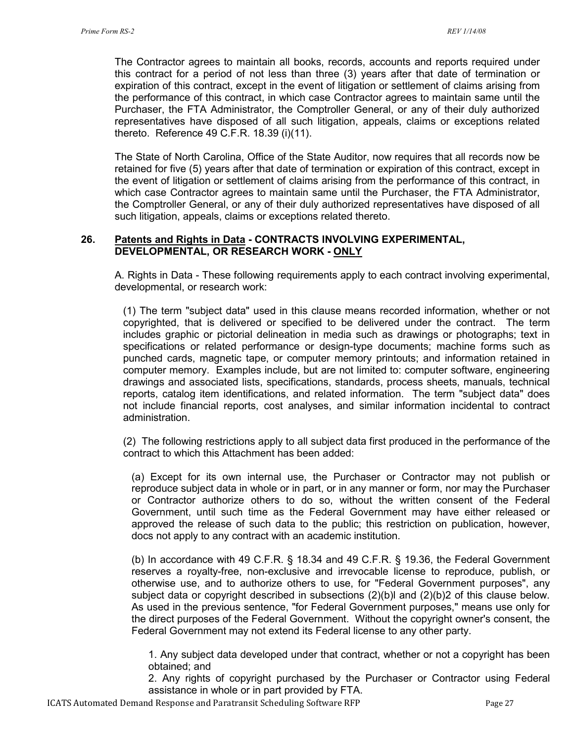The Contractor agrees to maintain all books, records, accounts and reports required under this contract for a period of not less than three (3) years after that date of termination or expiration of this contract, except in the event of litigation or settlement of claims arising from the performance of this contract, in which case Contractor agrees to maintain same until the Purchaser, the FTA Administrator, the Comptroller General, or any of their duly authorized representatives have disposed of all such litigation, appeals, claims or exceptions related thereto. Reference 49 C.F.R. 18.39 (i)(11).

The State of North Carolina, Office of the State Auditor, now requires that all records now be retained for five (5) years after that date of termination or expiration of this contract, except in the event of litigation or settlement of claims arising from the performance of this contract, in which case Contractor agrees to maintain same until the Purchaser, the FTA Administrator, the Comptroller General, or any of their duly authorized representatives have disposed of all such litigation, appeals, claims or exceptions related thereto.

#### **26. Patents and Rights in Data - CONTRACTS INVOLVING EXPERIMENTAL, DEVELOPMENTAL, OR RESEARCH WORK - ONLY**

A. Rights in Data - These following requirements apply to each contract involving experimental, developmental, or research work:

(1) The term "subject data" used in this clause means recorded information, whether or not copyrighted, that is delivered or specified to be delivered under the contract. The term includes graphic or pictorial delineation in media such as drawings or photographs; text in specifications or related performance or design-type documents; machine forms such as punched cards, magnetic tape, or computer memory printouts; and information retained in computer memory. Examples include, but are not limited to: computer software, engineering drawings and associated lists, specifications, standards, process sheets, manuals, technical reports, catalog item identifications, and related information. The term "subject data" does not include financial reports, cost analyses, and similar information incidental to contract administration.

(2) The following restrictions apply to all subject data first produced in the performance of the contract to which this Attachment has been added:

(a) Except for its own internal use, the Purchaser or Contractor may not publish or reproduce subject data in whole or in part, or in any manner or form, nor may the Purchaser or Contractor authorize others to do so, without the written consent of the Federal Government, until such time as the Federal Government may have either released or approved the release of such data to the public; this restriction on publication, however, docs not apply to any contract with an academic institution.

(b) In accordance with 49 C.F.R. § 18.34 and 49 C.F.R. § 19.36, the Federal Government reserves a royalty-free, non-exclusive and irrevocable license to reproduce, publish, or otherwise use, and to authorize others to use, for "Federal Government purposes", any subject data or copyright described in subsections (2)(b)l and (2)(b)2 of this clause below. As used in the previous sentence, "for Federal Government purposes," means use only for the direct purposes of the Federal Government. Without the copyright owner's consent, the Federal Government may not extend its Federal license to any other party.

1. Any subject data developed under that contract, whether or not a copyright has been obtained; and

2. Any rights of copyright purchased by the Purchaser or Contractor using Federal assistance in whole or in part provided by FTA.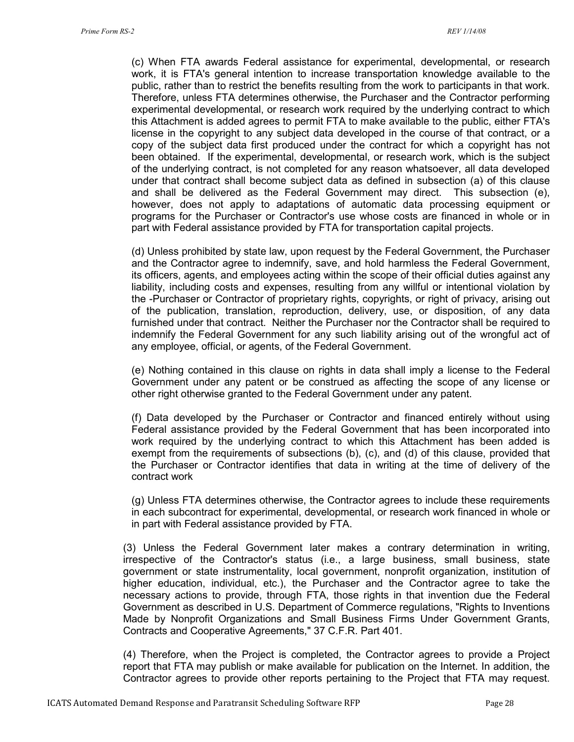(c) When FTA awards Federal assistance for experimental, developmental, or research work, it is FTA's general intention to increase transportation knowledge available to the public, rather than to restrict the benefits resulting from the work to participants in that work. Therefore, unless FTA determines otherwise, the Purchaser and the Contractor performing experimental developmental, or research work required by the underlying contract to which this Attachment is added agrees to permit FTA to make available to the public, either FTA's license in the copyright to any subject data developed in the course of that contract, or a copy of the subject data first produced under the contract for which a copyright has not been obtained. If the experimental, developmental, or research work, which is the subject of the underlying contract, is not completed for any reason whatsoever, all data developed under that contract shall become subject data as defined in subsection (a) of this clause and shall be delivered as the Federal Government may direct. This subsection (e), however, does not apply to adaptations of automatic data processing equipment or programs for the Purchaser or Contractor's use whose costs are financed in whole or in part with Federal assistance provided by FTA for transportation capital projects.

(d) Unless prohibited by state law, upon request by the Federal Government, the Purchaser and the Contractor agree to indemnify, save, and hold harmless the Federal Government, its officers, agents, and employees acting within the scope of their official duties against any liability, including costs and expenses, resulting from any willful or intentional violation by the -Purchaser or Contractor of proprietary rights, copyrights, or right of privacy, arising out of the publication, translation, reproduction, delivery, use, or disposition, of any data furnished under that contract. Neither the Purchaser nor the Contractor shall be required to indemnify the Federal Government for any such liability arising out of the wrongful act of any employee, official, or agents, of the Federal Government.

(e) Nothing contained in this clause on rights in data shall imply a license to the Federal Government under any patent or be construed as affecting the scope of any license or other right otherwise granted to the Federal Government under any patent.

(f) Data developed by the Purchaser or Contractor and financed entirely without using Federal assistance provided by the Federal Government that has been incorporated into work required by the underlying contract to which this Attachment has been added is exempt from the requirements of subsections (b), (c), and (d) of this clause, provided that the Purchaser or Contractor identifies that data in writing at the time of delivery of the contract work

(g) Unless FTA determines otherwise, the Contractor agrees to include these requirements in each subcontract for experimental, developmental, or research work financed in whole or in part with Federal assistance provided by FTA.

(3) Unless the Federal Government later makes a contrary determination in writing, irrespective of the Contractor's status (i.e., a large business, small business, state government or state instrumentality, local government, nonprofit organization, institution of higher education, individual, etc.), the Purchaser and the Contractor agree to take the necessary actions to provide, through FTA, those rights in that invention due the Federal Government as described in U.S. Department of Commerce regulations, "Rights to Inventions Made by Nonprofit Organizations and Small Business Firms Under Government Grants, Contracts and Cooperative Agreements," 37 C.F.R. Part 401.

(4) Therefore, when the Project is completed, the Contractor agrees to provide a Project report that FTA may publish or make available for publication on the Internet. In addition, the Contractor agrees to provide other reports pertaining to the Project that FTA may request.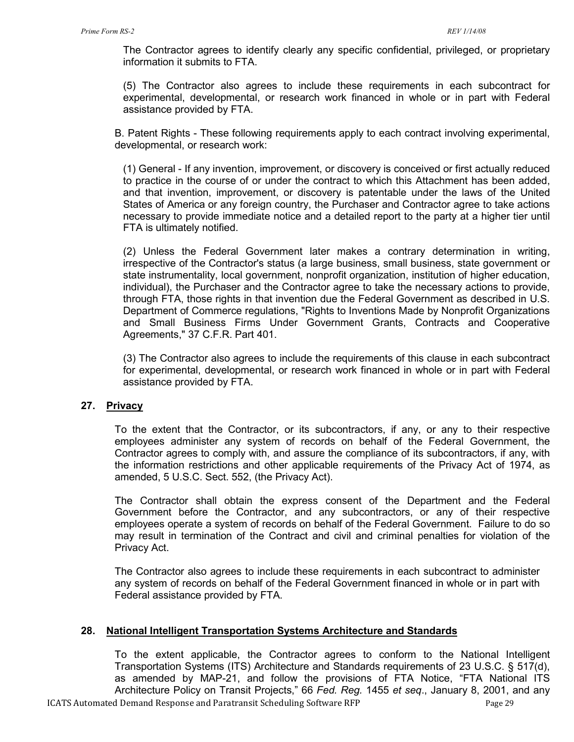The Contractor agrees to identify clearly any specific confidential, privileged, or proprietary information it submits to FTA.

(5) The Contractor also agrees to include these requirements in each subcontract for experimental, developmental, or research work financed in whole or in part with Federal assistance provided by FTA.

B. Patent Rights - These following requirements apply to each contract involving experimental, developmental, or research work:

(1) General - If any invention, improvement, or discovery is conceived or first actually reduced to practice in the course of or under the contract to which this Attachment has been added, and that invention, improvement, or discovery is patentable under the laws of the United States of America or any foreign country, the Purchaser and Contractor agree to take actions necessary to provide immediate notice and a detailed report to the party at a higher tier until FTA is ultimately notified.

(2) Unless the Federal Government later makes a contrary determination in writing, irrespective of the Contractor's status (a large business, small business, state government or state instrumentality, local government, nonprofit organization, institution of higher education, individual), the Purchaser and the Contractor agree to take the necessary actions to provide, through FTA, those rights in that invention due the Federal Government as described in U.S. Department of Commerce regulations, "Rights to Inventions Made by Nonprofit Organizations and Small Business Firms Under Government Grants, Contracts and Cooperative Agreements," 37 C.F.R. Part 401.

(3) The Contractor also agrees to include the requirements of this clause in each subcontract for experimental, developmental, or research work financed in whole or in part with Federal assistance provided by FTA.

### **27. Privacy**

To the extent that the Contractor, or its subcontractors, if any, or any to their respective employees administer any system of records on behalf of the Federal Government, the Contractor agrees to comply with, and assure the compliance of its subcontractors, if any, with the information restrictions and other applicable requirements of the Privacy Act of 1974, as amended, 5 U.S.C. Sect. 552, (the Privacy Act).

The Contractor shall obtain the express consent of the Department and the Federal Government before the Contractor, and any subcontractors, or any of their respective employees operate a system of records on behalf of the Federal Government. Failure to do so may result in termination of the Contract and civil and criminal penalties for violation of the Privacy Act.

The Contractor also agrees to include these requirements in each subcontract to administer any system of records on behalf of the Federal Government financed in whole or in part with Federal assistance provided by FTA.

### **28. National Intelligent Transportation Systems Architecture and Standards**

To the extent applicable, the Contractor agrees to conform to the National Intelligent Transportation Systems (ITS) Architecture and Standards requirements of 23 U.S.C. § 517(d), as amended by MAP-21, and follow the provisions of FTA Notice, "FTA National ITS Architecture Policy on Transit Projects," 66 *Fed. Reg.* 1455 *et seq*., January 8, 2001, and any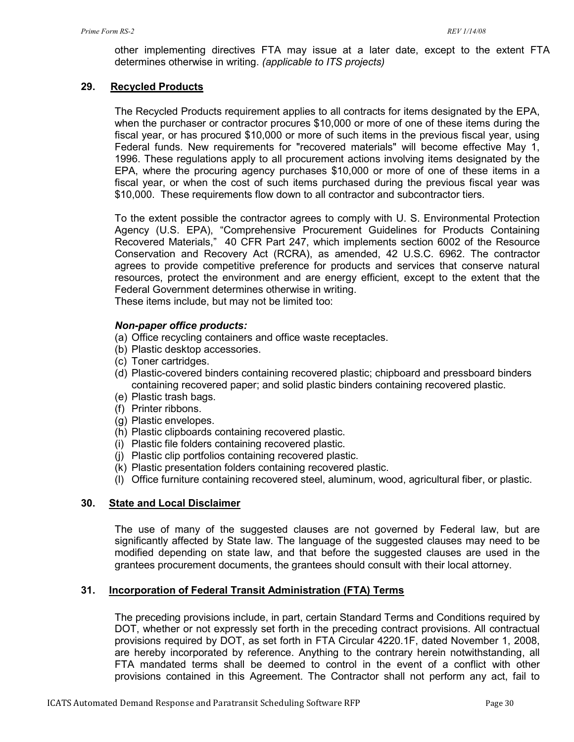other implementing directives FTA may issue at a later date, except to the extent FTA determines otherwise in writing. *(applicable to ITS projects)*

### **29. Recycled Products**

The Recycled Products requirement applies to all contracts for items designated by the EPA, when the purchaser or contractor procures \$10,000 or more of one of these items during the fiscal year, or has procured \$10,000 or more of such items in the previous fiscal year, using Federal funds. New requirements for "recovered materials" will become effective May 1, 1996. These regulations apply to all procurement actions involving items designated by the EPA, where the procuring agency purchases \$10,000 or more of one of these items in a fiscal year, or when the cost of such items purchased during the previous fiscal year was \$10,000. These requirements flow down to all contractor and subcontractor tiers.

To the extent possible the contractor agrees to comply with U. S. Environmental Protection Agency (U.S. EPA), "Comprehensive Procurement Guidelines for Products Containing Recovered Materials," 40 CFR Part 247, which implements section 6002 of the Resource Conservation and Recovery Act (RCRA), as amended, 42 U.S.C. 6962. The contractor agrees to provide competitive preference for products and services that conserve natural resources, protect the environment and are energy efficient, except to the extent that the Federal Government determines otherwise in writing.

These items include, but may not be limited too:

#### *Non-paper office products:*

- (a) Office recycling containers and office waste receptacles.
- (b) Plastic desktop accessories.
- (c) Toner cartridges.
- (d) Plastic-covered binders containing recovered plastic; chipboard and pressboard binders containing recovered paper; and solid plastic binders containing recovered plastic.
- (e) Plastic trash bags.
- (f) Printer ribbons.
- (g) Plastic envelopes.
- (h) Plastic clipboards containing recovered plastic.
- (i) Plastic file folders containing recovered plastic.
- (j) Plastic clip portfolios containing recovered plastic.
- (k) Plastic presentation folders containing recovered plastic.
- (l) Office furniture containing recovered steel, aluminum, wood, agricultural fiber, or plastic.

### **30. State and Local Disclaimer**

The use of many of the suggested clauses are not governed by Federal law, but are significantly affected by State law. The language of the suggested clauses may need to be modified depending on state law, and that before the suggested clauses are used in the grantees procurement documents, the grantees should consult with their local attorney.

#### **31. Incorporation of Federal Transit Administration (FTA) Terms**

The preceding provisions include, in part, certain Standard Terms and Conditions required by DOT, whether or not expressly set forth in the preceding contract provisions. All contractual provisions required by DOT, as set forth in FTA Circular 4220.1F, dated November 1, 2008, are hereby incorporated by reference. Anything to the contrary herein notwithstanding, all FTA mandated terms shall be deemed to control in the event of a conflict with other provisions contained in this Agreement. The Contractor shall not perform any act, fail to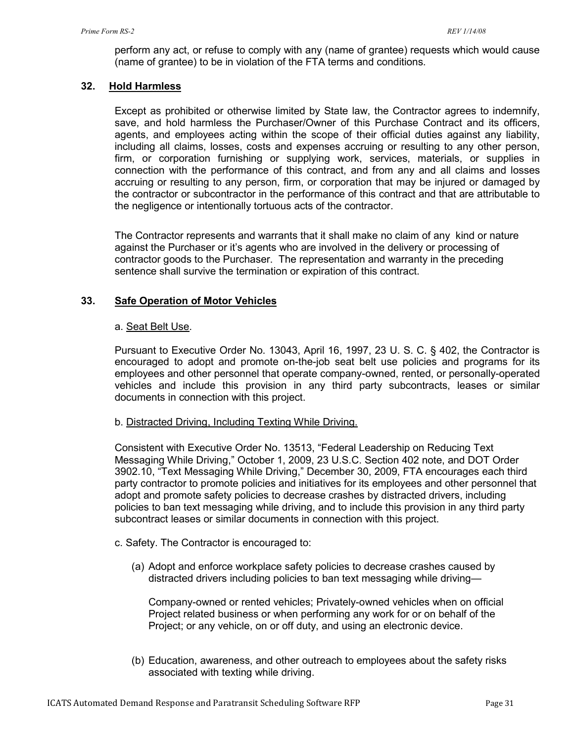perform any act, or refuse to comply with any (name of grantee) requests which would cause (name of grantee) to be in violation of the FTA terms and conditions.

### **32. Hold Harmless**

Except as prohibited or otherwise limited by State law, the Contractor agrees to indemnify, save, and hold harmless the Purchaser/Owner of this Purchase Contract and its officers, agents, and employees acting within the scope of their official duties against any liability, including all claims, losses, costs and expenses accruing or resulting to any other person, firm, or corporation furnishing or supplying work, services, materials, or supplies in connection with the performance of this contract, and from any and all claims and losses accruing or resulting to any person, firm, or corporation that may be injured or damaged by the contractor or subcontractor in the performance of this contract and that are attributable to the negligence or intentionally tortuous acts of the contractor.

The Contractor represents and warrants that it shall make no claim of any kind or nature against the Purchaser or it's agents who are involved in the delivery or processing of contractor goods to the Purchaser. The representation and warranty in the preceding sentence shall survive the termination or expiration of this contract.

### **33. Safe Operation of Motor Vehicles**

#### a. Seat Belt Use.

Pursuant to Executive Order No. 13043, April 16, 1997, 23 U. S. C. § 402, the Contractor is encouraged to adopt and promote on-the-job seat belt use policies and programs for its employees and other personnel that operate company-owned, rented, or personally-operated vehicles and include this provision in any third party subcontracts, leases or similar documents in connection with this project.

#### b. Distracted Driving, Including Texting While Driving.

Consistent with Executive Order No. 13513, "Federal Leadership on Reducing Text Messaging While Driving," October 1, 2009, 23 U.S.C. Section 402 note, and DOT Order 3902.10, "Text Messaging While Driving," December 30, 2009, FTA encourages each third party contractor to promote policies and initiatives for its employees and other personnel that adopt and promote safety policies to decrease crashes by distracted drivers, including policies to ban text messaging while driving, and to include this provision in any third party subcontract leases or similar documents in connection with this project.

#### c. Safety. The Contractor is encouraged to:

(a) Adopt and enforce workplace safety policies to decrease crashes caused by distracted drivers including policies to ban text messaging while driving—

Company-owned or rented vehicles; Privately-owned vehicles when on official Project related business or when performing any work for or on behalf of the Project; or any vehicle, on or off duty, and using an electronic device.

(b) Education, awareness, and other outreach to employees about the safety risks associated with texting while driving.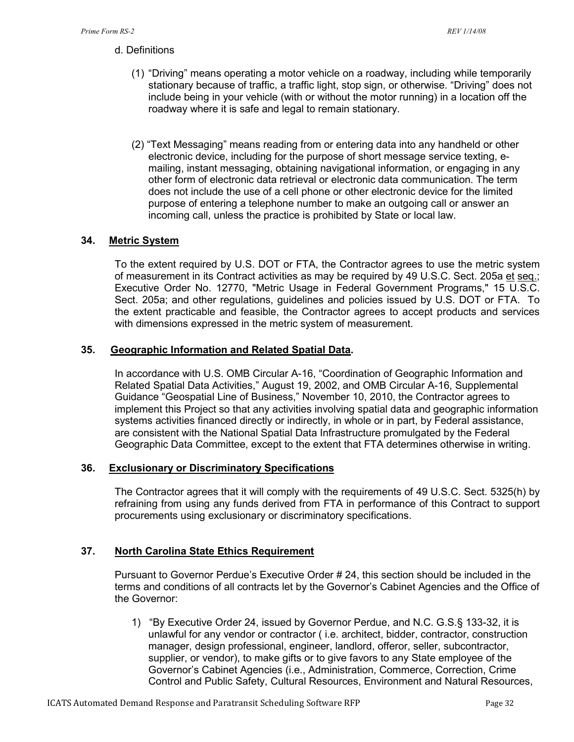- d. Definitions
	- (1) "Driving" means operating a motor vehicle on a roadway, including while temporarily stationary because of traffic, a traffic light, stop sign, or otherwise. "Driving" does not include being in your vehicle (with or without the motor running) in a location off the roadway where it is safe and legal to remain stationary.
	- (2) "Text Messaging" means reading from or entering data into any handheld or other electronic device, including for the purpose of short message service texting, emailing, instant messaging, obtaining navigational information, or engaging in any other form of electronic data retrieval or electronic data communication. The term does not include the use of a cell phone or other electronic device for the limited purpose of entering a telephone number to make an outgoing call or answer an incoming call, unless the practice is prohibited by State or local law.

## **34. Metric System**

To the extent required by U.S. DOT or FTA, the Contractor agrees to use the metric system of measurement in its Contract activities as may be required by 49 U.S.C. Sect. 205a et seq.; Executive Order No. 12770, "Metric Usage in Federal Government Programs," 15 U.S.C. Sect. 205a; and other regulations, guidelines and policies issued by U.S. DOT or FTA. To the extent practicable and feasible, the Contractor agrees to accept products and services with dimensions expressed in the metric system of measurement.

### **35. Geographic Information and Related Spatial Data.**

In accordance with U.S. OMB Circular A-16, "Coordination of Geographic Information and Related Spatial Data Activities," August 19, 2002, and OMB Circular A-16, Supplemental Guidance "Geospatial Line of Business," November 10, 2010, the Contractor agrees to implement this Project so that any activities involving spatial data and geographic information systems activities financed directly or indirectly, in whole or in part, by Federal assistance, are consistent with the National Spatial Data Infrastructure promulgated by the Federal Geographic Data Committee, except to the extent that FTA determines otherwise in writing.

### **36. Exclusionary or Discriminatory Specifications**

The Contractor agrees that it will comply with the requirements of 49 U.S.C. Sect. 5325(h) by refraining from using any funds derived from FTA in performance of this Contract to support procurements using exclusionary or discriminatory specifications.

## **37. North Carolina State Ethics Requirement**

Pursuant to Governor Perdue's Executive Order # 24, this section should be included in the terms and conditions of all contracts let by the Governor's Cabinet Agencies and the Office of the Governor:

1) "By Executive Order 24, issued by Governor Perdue, and N.C. G.S.§ 133-32, it is unlawful for any vendor or contractor ( i.e. architect, bidder, contractor, construction manager, design professional, engineer, landlord, offeror, seller, subcontractor, supplier, or vendor), to make gifts or to give favors to any State employee of the Governor's Cabinet Agencies (i.e., Administration, Commerce, Correction, Crime Control and Public Safety, Cultural Resources, Environment and Natural Resources,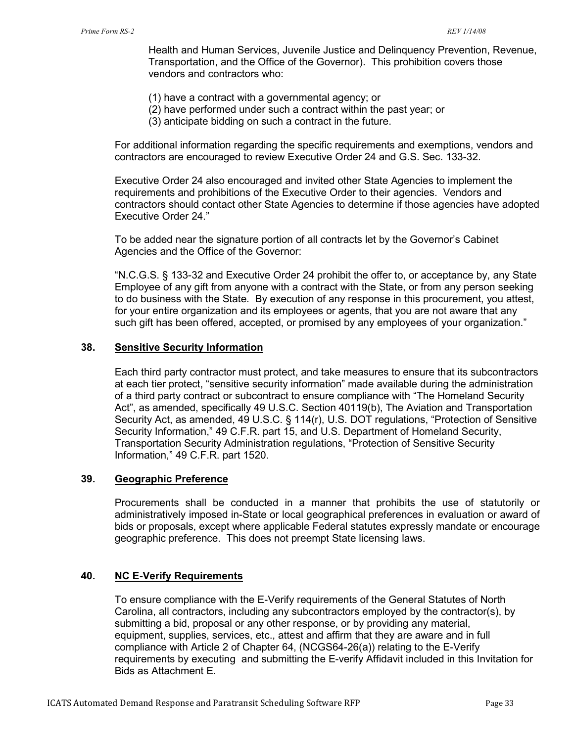Health and Human Services, Juvenile Justice and Delinquency Prevention, Revenue, Transportation, and the Office of the Governor). This prohibition covers those vendors and contractors who:

- (1) have a contract with a governmental agency; or
- (2) have performed under such a contract within the past year; or
- (3) anticipate bidding on such a contract in the future.

For additional information regarding the specific requirements and exemptions, vendors and contractors are encouraged to review Executive Order 24 and G.S. Sec. 133-32.

Executive Order 24 also encouraged and invited other State Agencies to implement the requirements and prohibitions of the Executive Order to their agencies. Vendors and contractors should contact other State Agencies to determine if those agencies have adopted Executive Order 24."

To be added near the signature portion of all contracts let by the Governor's Cabinet Agencies and the Office of the Governor:

"N.C.G.S. § 133-32 and Executive Order 24 prohibit the offer to, or acceptance by, any State Employee of any gift from anyone with a contract with the State, or from any person seeking to do business with the State. By execution of any response in this procurement, you attest, for your entire organization and its employees or agents, that you are not aware that any such gift has been offered, accepted, or promised by any employees of your organization."

#### **38. Sensitive Security Information**

Each third party contractor must protect, and take measures to ensure that its subcontractors at each tier protect, "sensitive security information" made available during the administration of a third party contract or subcontract to ensure compliance with "The Homeland Security Act", as amended, specifically 49 U.S.C. Section 40119(b), The Aviation and Transportation Security Act, as amended, 49 U.S.C. § 114(r), U.S. DOT regulations, "Protection of Sensitive Security Information," 49 C.F.R. part 15, and U.S. Department of Homeland Security, Transportation Security Administration regulations, "Protection of Sensitive Security Information," 49 C.F.R. part 1520.

#### **39. Geographic Preference**

Procurements shall be conducted in a manner that prohibits the use of statutorily or administratively imposed in-State or local geographical preferences in evaluation or award of bids or proposals, except where applicable Federal statutes expressly mandate or encourage geographic preference. This does not preempt State licensing laws.

#### **40. NC E-Verify Requirements**

To ensure compliance with the E-Verify requirements of the General Statutes of North Carolina, all contractors, including any subcontractors employed by the contractor(s), by submitting a bid, proposal or any other response, or by providing any material, equipment, supplies, services, etc., attest and affirm that they are aware and in full compliance with Article 2 of Chapter 64, (NCGS64-26(a)) relating to the E-Verify requirements by executing and submitting the E-verify Affidavit included in this Invitation for Bids as Attachment E.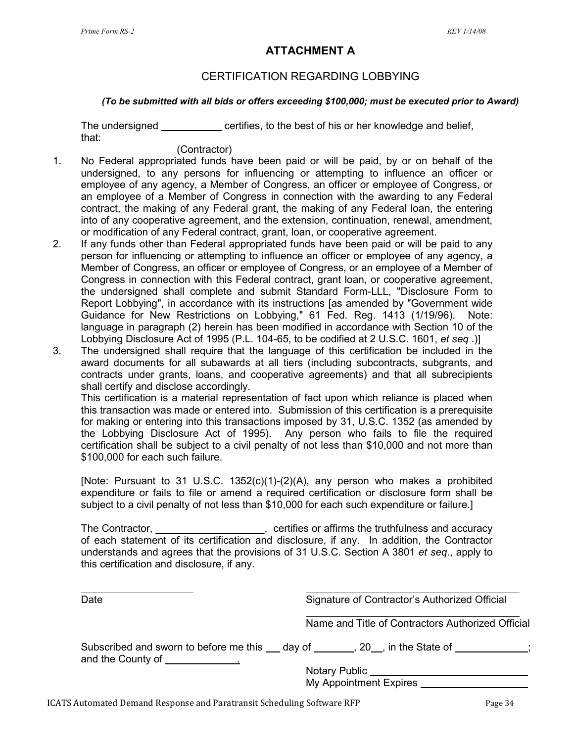## **ATTACHMENT A**

## CERTIFICATION REGARDING LOBBYING

#### *(To be submitted with all bids or offers exceeding \$100,000; must be executed prior to Award)*

The undersigned \_\_\_\_\_\_\_\_\_\_\_ certifies, to the best of his or her knowledge and belief, that:

### (Contractor)

- 1. No Federal appropriated funds have been paid or will be paid, by or on behalf of the undersigned, to any persons for influencing or attempting to influence an officer or employee of any agency, a Member of Congress, an officer or employee of Congress, or an employee of a Member of Congress in connection with the awarding to any Federal contract, the making of any Federal grant, the making of any Federal loan, the entering into of any cooperative agreement, and the extension, continuation, renewal, amendment, or modification of any Federal contract, grant, loan, or cooperative agreement.
- 2. If any funds other than Federal appropriated funds have been paid or will be paid to any person for influencing or attempting to influence an officer or employee of any agency, a Member of Congress, an officer or employee of Congress, or an employee of a Member of Congress in connection with this Federal contract, grant loan, or cooperative agreement, the undersigned shall complete and submit Standard Form-LLL, "Disclosure Form to Report Lobbying", in accordance with its instructions [as amended by "Government wide Guidance for New Restrictions on Lobbying," 61 Fed. Reg. 1413 (1/19/96). Note: language in paragraph (2) herein has been modified in accordance with Section 10 of the Lobbying Disclosure Act of 1995 (P.L. 104-65, to be codified at 2 U.S.C. 1601, *et seq* .)]
- 3. The undersigned shall require that the language of this certification be included in the award documents for all subawards at all tiers (including subcontracts, subgrants, and contracts under grants, loans, and cooperative agreements) and that all subrecipients shall certify and disclose accordingly.

This certification is a material representation of fact upon which reliance is placed when this transaction was made or entered into. Submission of this certification is a prerequisite for making or entering into this transactions imposed by 31, U.S.C. 1352 (as amended by the Lobbying Disclosure Act of 1995). Any person who fails to file the required certification shall be subject to a civil penalty of not less than \$10,000 and not more than \$100,000 for each such failure.

[Note: Pursuant to 31 U.S.C. 1352(c)(1)-(2)(A), any person who makes a prohibited expenditure or fails to file or amend a required certification or disclosure form shall be subject to a civil penalty of not less than \$10,000 for each such expenditure or failure.]

The Contractor, \_\_\_\_\_\_\_\_\_\_\_\_\_\_\_\_\_\_\_\_, certifies or affirms the truthfulness and accuracy of each statement of its certification and disclosure, if any. In addition, the Contractor understands and agrees that the provisions of 31 U.S.C. Section A 3801 *et seq*., apply to this certification and disclosure, if any.

| Date                            | Signature of Contractor's Authorized Official                                                                                   |  |  |
|---------------------------------|---------------------------------------------------------------------------------------------------------------------------------|--|--|
|                                 | Name and Title of Contractors Authorized Official                                                                               |  |  |
| and the County of Theorem 2014. | Subscribed and sworn to before me this day of the State of the State of the State of<br>Notary Public<br>My Appointment Expires |  |  |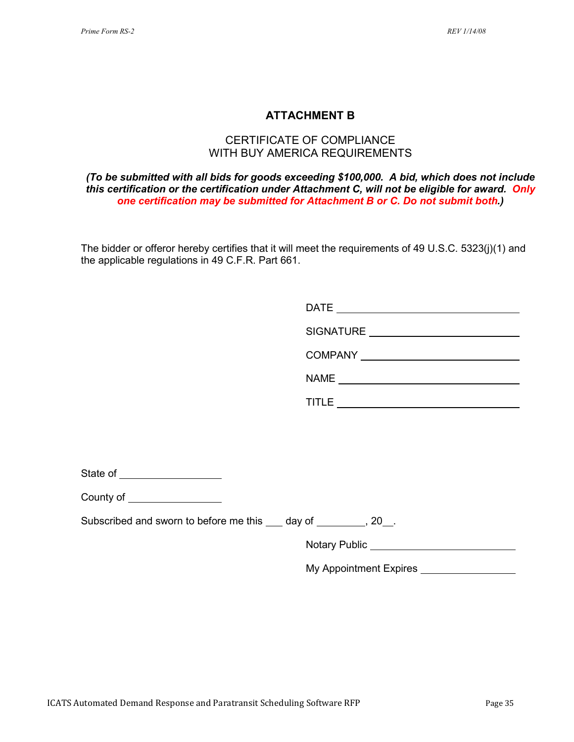## **ATTACHMENT B**

## CERTIFICATE OF COMPLIANCE WITH BUY AMERICA REQUIREMENTS

#### *(To be submitted with all bids for goods exceeding \$100,000. A bid, which does not include this certification or the certification under Attachment C, will not be eligible for award. Only one certification may be submitted for Attachment B or C. Do not submit both.)*

The bidder or offeror hereby certifies that it will meet the requirements of 49 U.S.C. 5323(j)(1) and the applicable regulations in 49 C.F.R. Part 661.

| County of ___________________                                       |                                           |
|---------------------------------------------------------------------|-------------------------------------------|
| Subscribed and sworn to before me this ____ day of _________, 20__. |                                           |
|                                                                     |                                           |
|                                                                     | My Appointment Expires __________________ |
|                                                                     |                                           |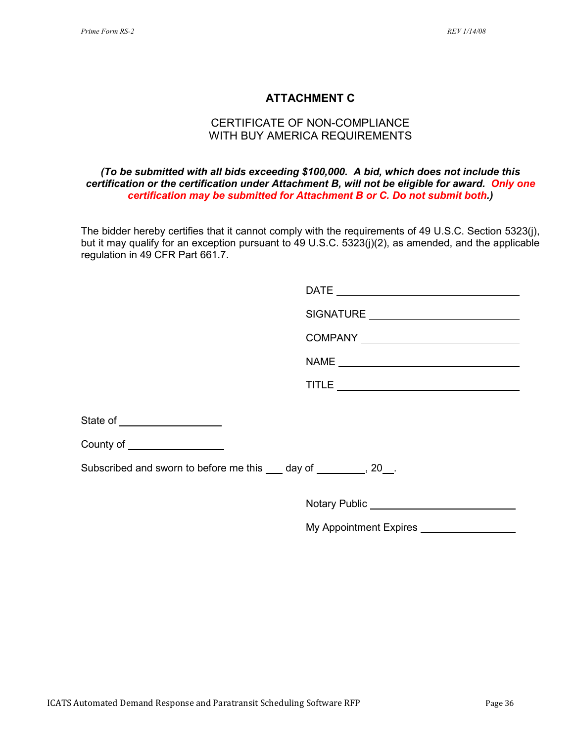## **ATTACHMENT C**

## CERTIFICATE OF NON-COMPLIANCE WITH BUY AMERICA REQUIREMENTS

#### *(To be submitted with all bids exceeding \$100,000. A bid, which does not include this certification or the certification under Attachment B, will not be eligible for award. Only one certification may be submitted for Attachment B or C. Do not submit both.)*

The bidder hereby certifies that it cannot comply with the requirements of 49 U.S.C. Section 5323(j), but it may qualify for an exception pursuant to 49 U.S.C. 5323(j)(2), as amended, and the applicable regulation in 49 CFR Part 661.7.

|                                                                     | SIGNATURE _______________________________ |
|---------------------------------------------------------------------|-------------------------------------------|
|                                                                     |                                           |
|                                                                     |                                           |
|                                                                     |                                           |
| State of ____________________                                       |                                           |
| County of ___________________                                       |                                           |
| Subscribed and sworn to before me this ____ day of _________, 20__. |                                           |
|                                                                     |                                           |

My Appointment Expires \_\_\_\_\_\_\_\_\_\_\_\_\_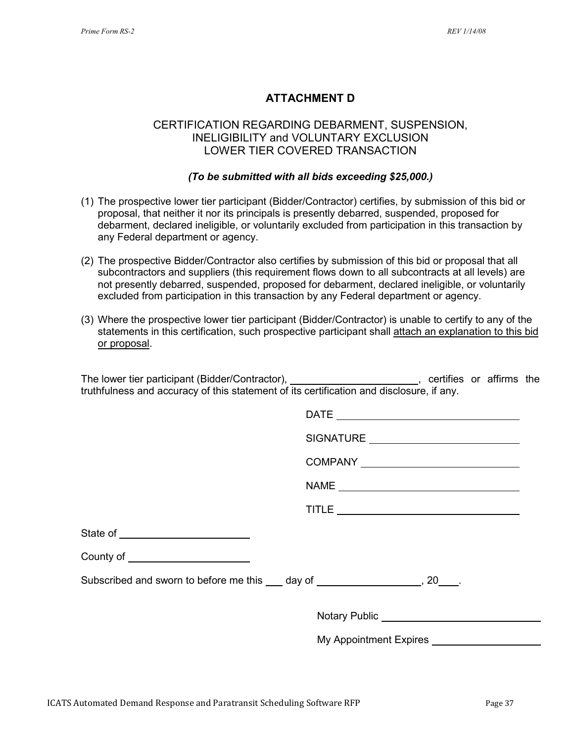## **ATTACHMENT D**

## CERTIFICATION REGARDING DEBARMENT, SUSPENSION, INELIGIBILITY and VOLUNTARY EXCLUSION LOWER TIER COVERED TRANSACTION

#### *(To be submitted with all bids exceeding \$25,000.)*

- (1) The prospective lower tier participant (Bidder/Contractor) certifies, by submission of this bid or proposal, that neither it nor its principals is presently debarred, suspended, proposed for debarment, declared ineligible, or voluntarily excluded from participation in this transaction by any Federal department or agency.
- (2) The prospective Bidder/Contractor also certifies by submission of this bid or proposal that all subcontractors and suppliers (this requirement flows down to all subcontracts at all levels) are not presently debarred, suspended, proposed for debarment, declared ineligible, or voluntarily excluded from participation in this transaction by any Federal department or agency.
- (3) Where the prospective lower tier participant (Bidder/Contractor) is unable to certify to any of the statements in this certification, such prospective participant shall attach an explanation to this bid or proposal.

The lower tier participant (Bidder/Contractor), \_\_\_\_\_\_\_\_\_\_\_\_\_\_\_\_\_\_\_\_\_\_\_\_, certifies or affirms the truthfulness and accuracy of this statement of its certification and disclosure, if any.

|                                                                                 | SIGNATURE ___________________________         |
|---------------------------------------------------------------------------------|-----------------------------------------------|
|                                                                                 |                                               |
|                                                                                 |                                               |
|                                                                                 |                                               |
|                                                                                 |                                               |
| County of ________________________                                              |                                               |
| Subscribed and sworn to before me this ____ day of ___________________, 20____. |                                               |
|                                                                                 | Notary Public _______________________________ |
|                                                                                 |                                               |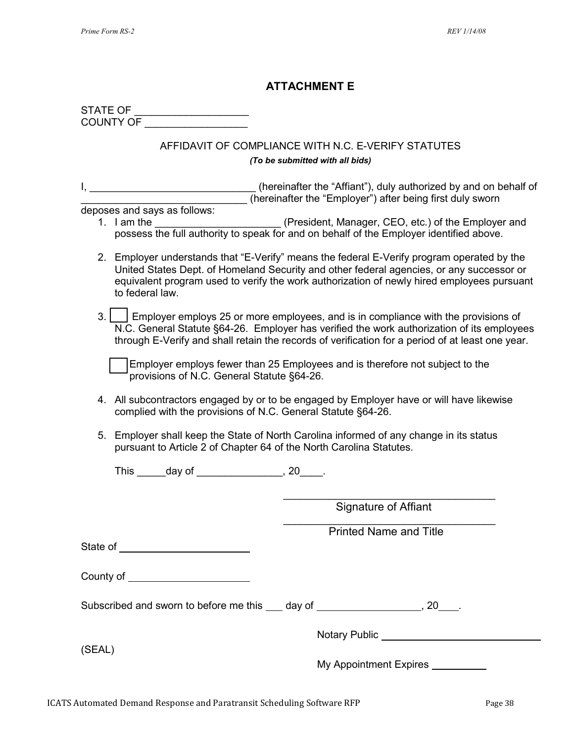## **ATTACHMENT E**

| STATE OF         |  |
|------------------|--|
| <b>COUNTY OF</b> |  |

### AFFIDAVIT OF COMPLIANCE WITH N.C. E-VERIFY STATUTES *(To be submitted with all bids)*

I, \_\_\_\_\_\_\_\_\_\_\_\_\_\_\_\_\_\_\_\_\_\_\_\_\_\_\_\_\_\_\_\_\_\_(hereinafter the "Affiant"), duly authorized by and on behalf of \_\_\_\_\_\_\_\_\_\_\_\_\_\_\_\_\_\_\_\_\_\_\_\_\_\_\_\_\_ (hereinafter the "Employer") after being first duly sworn

deposes and says as follows:

- 1. I am the \_\_\_\_\_\_\_\_\_\_\_\_\_\_\_\_\_\_\_\_\_\_\_\_\_(President, Manager, CEO, etc.) of the Employer and possess the full authority to speak for and on behalf of the Employer identified above.
- 2. Employer understands that "E-Verify" means the federal E-Verify program operated by the United States Dept. of Homeland Security and other federal agencies, or any successor or equivalent program used to verify the work authorization of newly hired employees pursuant to federal law.
- $3.$   $\vert$  Employer employs 25 or more employees, and is in compliance with the provisions of N.C. General Statute §64-26. Employer has verified the work authorization of its employees through E-Verify and shall retain the records of verification for a period of at least one year.

Employer employs fewer than 25 Employees and is therefore not subject to the provisions of N.C. General Statute §64-26.

- 4. All subcontractors engaged by or to be engaged by Employer have or will have likewise complied with the provisions of N.C. General Statute §64-26.
- 5. Employer shall keep the State of North Carolina informed of any change in its status pursuant to Article 2 of Chapter 64 of the North Carolina Statutes.

This day of the set of the set of the set of the set of the set of the set of the set of the set of the set of the set of the set of the set of the set of the set of the set of the set of the set of the set of the set of t

\_\_\_\_\_\_\_\_\_\_\_\_\_\_\_\_\_\_\_\_\_\_\_\_\_\_\_\_\_\_\_\_\_\_\_\_\_ Signature of Affiant

\_\_\_\_\_\_\_\_\_\_\_\_\_\_\_\_\_\_\_\_\_\_\_\_\_\_\_\_\_\_\_\_\_\_\_\_\_ Printed Name and Title

State of **State of State of** 

County of

Subscribed and sworn to before me this  $\qquad$  day of  $\qquad \qquad$ , 20  $\qquad$ .

Notary Public

(SEAL)

My Appointment Expires \_\_\_\_\_\_\_\_\_\_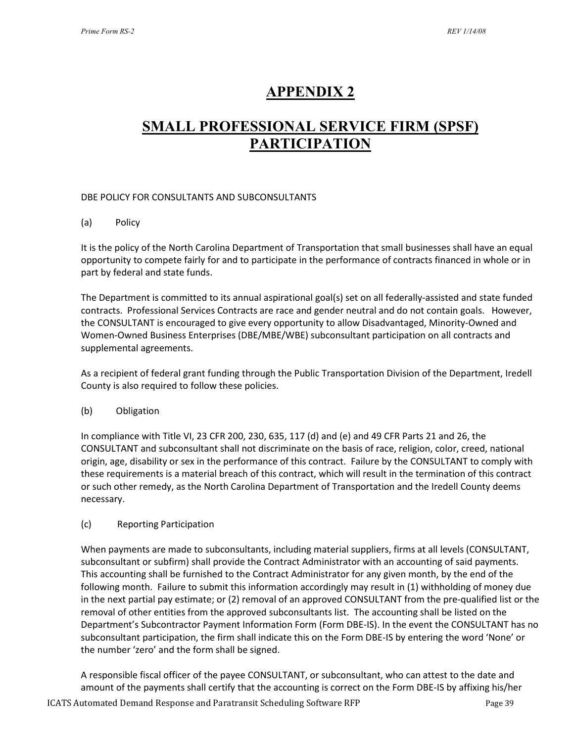## **APPENDIX 2**

## **SMALL PROFESSIONAL SERVICE FIRM (SPSF) PARTICIPATION**

#### DBE POLICY FOR CONSULTANTS AND SUBCONSULTANTS

#### (a) Policy

It is the policy of the North Carolina Department of Transportation that small businesses shall have an equal opportunity to compete fairly for and to participate in the performance of contracts financed in whole or in part by federal and state funds.

The Department is committed to its annual aspirational goal(s) set on all federally-assisted and state funded contracts. Professional Services Contracts are race and gender neutral and do not contain goals. However, the CONSULTANT is encouraged to give every opportunity to allow Disadvantaged, Minority-Owned and Women-Owned Business Enterprises (DBE/MBE/WBE) subconsultant participation on all contracts and supplemental agreements.

As a recipient of federal grant funding through the Public Transportation Division of the Department, Iredell County is also required to follow these policies.

#### (b) Obligation

In compliance with Title VI, 23 CFR 200, 230, 635, 117 (d) and (e) and 49 CFR Parts 21 and 26, the CONSULTANT and subconsultant shall not discriminate on the basis of race, religion, color, creed, national origin, age, disability or sex in the performance of this contract. Failure by the CONSULTANT to comply with these requirements is a material breach of this contract, which will result in the termination of this contract or such other remedy, as the North Carolina Department of Transportation and the Iredell County deems necessary.

#### (c) Reporting Participation

When payments are made to subconsultants, including material suppliers, firms at all levels (CONSULTANT, subconsultant or subfirm) shall provide the Contract Administrator with an accounting of said payments. This accounting shall be furnished to the Contract Administrator for any given month, by the end of the following month. Failure to submit this information accordingly may result in (1) withholding of money due in the next partial pay estimate; or (2) removal of an approved CONSULTANT from the pre-qualified list or the removal of other entities from the approved subconsultants list. The accounting shall be listed on the Department's Subcontractor Payment Information Form (Form DBE-IS). In the event the CONSULTANT has no subconsultant participation, the firm shall indicate this on the Form DBE-IS by entering the word 'None' or the number 'zero' and the form shall be signed.

A responsible fiscal officer of the payee CONSULTANT, or subconsultant, who can attest to the date and amount of the payments shall certify that the accounting is correct on the Form DBE-IS by affixing his/her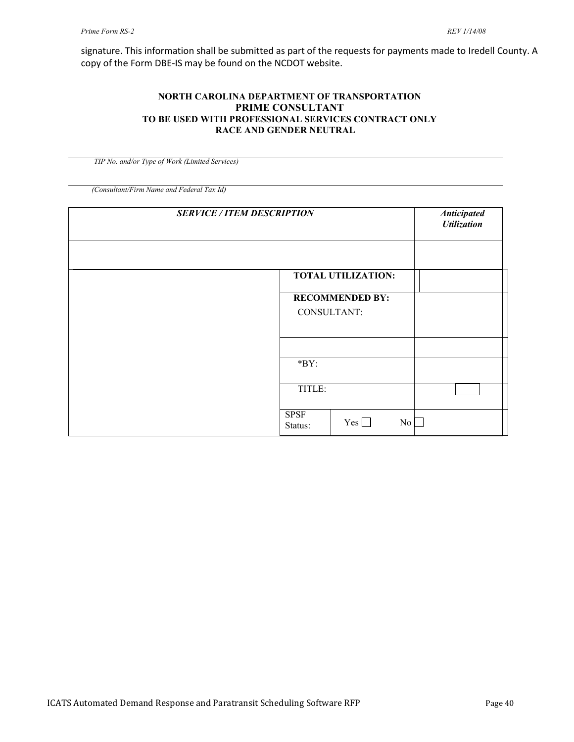signature. This information shall be submitted as part of the requests for payments made to Iredell County. A copy of the Form DBE-IS may be found on the NCDOT website.

#### **NORTH CAROLINA DEPARTMENT OF TRANSPORTATION PRIME CONSULTANT TO BE USED WITH PROFESSIONAL SERVICES CONTRACT ONLY RACE AND GENDER NEUTRAL**

 *TIP No. and/or Type of Work (Limited Services)*

*(Consultant/Firm Name and Federal Tax Id)*

| <b>SERVICE / ITEM DESCRIPTION</b> |                        |                           |                  | <b>Anticipated</b><br><b>Utilization</b> |
|-----------------------------------|------------------------|---------------------------|------------------|------------------------------------------|
|                                   |                        |                           |                  |                                          |
|                                   |                        | <b>TOTAL UTILIZATION:</b> |                  |                                          |
|                                   |                        | <b>RECOMMENDED BY:</b>    |                  |                                          |
|                                   | CONSULTANT:            |                           |                  |                                          |
|                                   |                        |                           |                  |                                          |
|                                   |                        |                           |                  |                                          |
|                                   | $*BY:$                 |                           |                  |                                          |
|                                   | TITLE:                 |                           |                  |                                          |
|                                   |                        |                           |                  |                                          |
|                                   | <b>SPSF</b><br>Status: | $Yes \Box$                | $\overline{N_0}$ |                                          |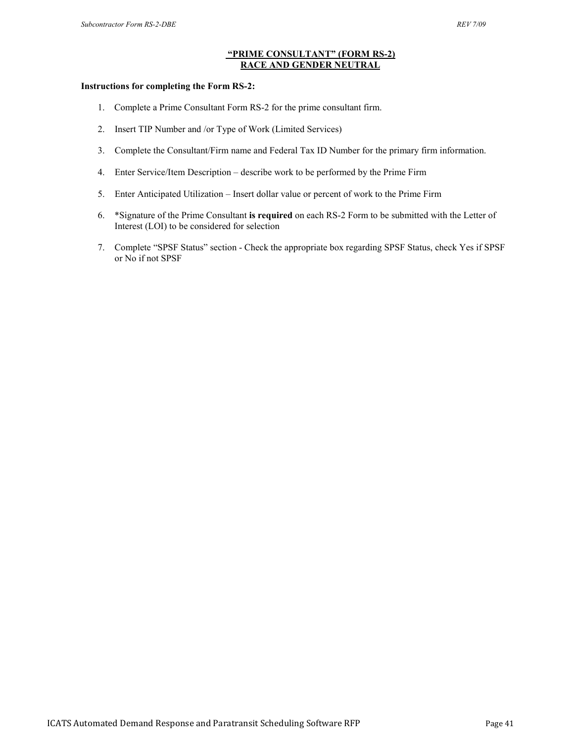#### **"PRIME CONSULTANT" (FORM RS-2) RACE AND GENDER NEUTRAL**

#### **Instructions for completing the Form RS-2:**

- 1. Complete a Prime Consultant Form RS-2 for the prime consultant firm.
- 2. Insert TIP Number and /or Type of Work (Limited Services)
- 3. Complete the Consultant/Firm name and Federal Tax ID Number for the primary firm information.
- 4. Enter Service/Item Description describe work to be performed by the Prime Firm
- 5. Enter Anticipated Utilization Insert dollar value or percent of work to the Prime Firm
- 6. \*Signature of the Prime Consultant **is required** on each RS-2 Form to be submitted with the Letter of Interest (LOI) to be considered for selection
- 7. Complete "SPSF Status" section Check the appropriate box regarding SPSF Status, check Yes if SPSF or No if not SPSF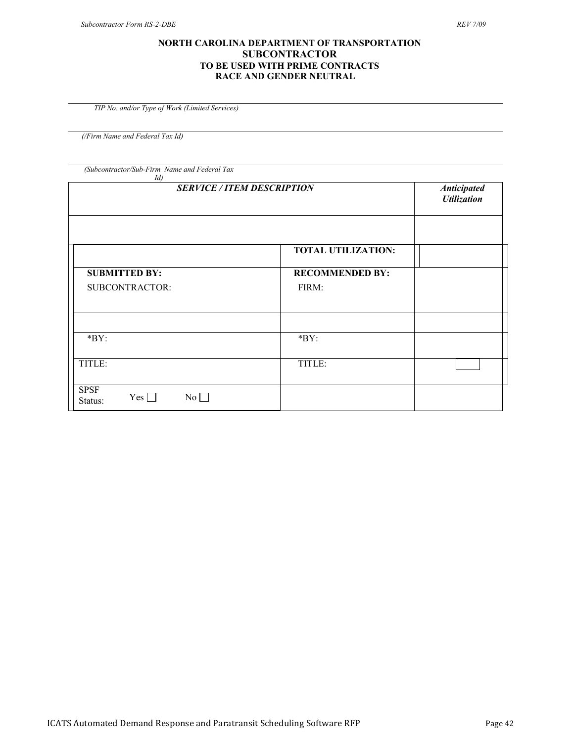#### **NORTH CAROLINA DEPARTMENT OF TRANSPORTATION SUBCONTRACTOR TO BE USED WITH PRIME CONTRACTS RACE AND GENDER NEUTRAL**

 *TIP No. and/or Type of Work (Limited Services)*

*(/Firm Name and Federal Tax Id)*

*(Subcontractor/Sub-Firm Name and Federal Tax* 

| Id)                                        |                           |                                                 |
|--------------------------------------------|---------------------------|-------------------------------------------------|
| <b>SERVICE / ITEM DESCRIPTION</b>          |                           | <b>Anticipated</b><br><b><i>Utilization</i></b> |
|                                            | <b>TOTAL UTILIZATION:</b> |                                                 |
| <b>SUBMITTED BY:</b>                       | <b>RECOMMENDED BY:</b>    |                                                 |
| SUBCONTRACTOR:                             | FIRM:                     |                                                 |
|                                            |                           |                                                 |
| $*BY:$                                     | $*BY:$                    |                                                 |
| TITLE:                                     | TITLE:                    |                                                 |
| <b>SPSF</b><br>Yes $\Box$<br>No<br>Status: |                           |                                                 |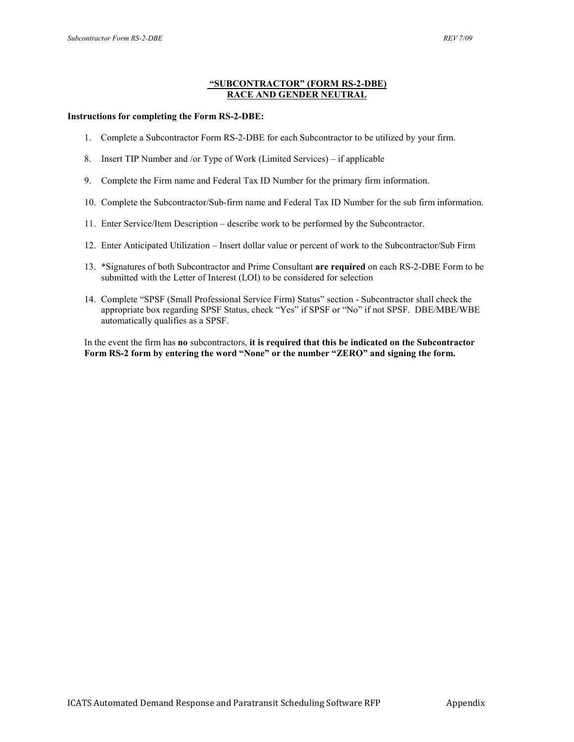#### **"SUBCONTRACTOR" (FORM RS-2-DBE) RACE AND GENDER NEUTRAL**

#### **Instructions for completing the Form RS-2-DBE:**

- 1. Complete a Subcontractor Form RS-2-DBE for each Subcontractor to be utilized by your firm.
- 8. Insert TIP Number and /or Type of Work (Limited Services) if applicable
- 9. Complete the Firm name and Federal Tax ID Number for the primary firm information.
- 10. Complete the Subcontractor/Sub-firm name and Federal Tax ID Number for the sub firm information.
- 11. Enter Service/Item Description describe work to be performed by the Subcontractor.
- 12. Enter Anticipated Utilization Insert dollar value or percent of work to the Subcontractor/Sub Firm
- 13. \*Signatures of both Subcontractor and Prime Consultant **are required** on each RS-2-DBE Form to be submitted with the Letter of Interest (LOI) to be considered for selection
- 14. Complete "SPSF (Small Professional Service Firm) Status" section Subcontractor shall check the appropriate box regarding SPSF Status, check "Yes" if SPSF or "No" if not SPSF. DBE/MBE/WBE automatically qualifies as a SPSF.

In the event the firm has **no** subcontractors, **it is required that this be indicated on the Subcontractor Form RS-2 form by entering the word "None" or the number "ZERO" and signing the form.**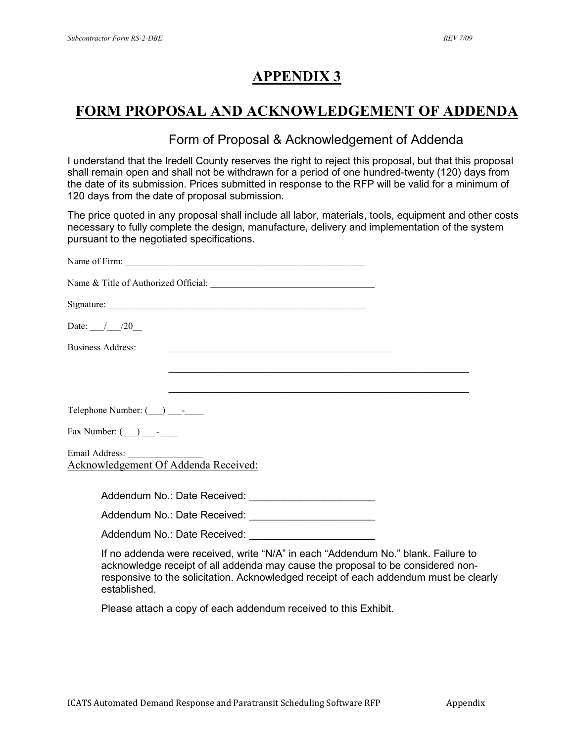## **APPENDIX 3**

## **FORM PROPOSAL AND ACKNOWLEDGEMENT OF ADDENDA**

## Form of Proposal & Acknowledgement of Addenda

I understand that the Iredell County reserves the right to reject this proposal, but that this proposal shall remain open and shall not be withdrawn for a period of one hundred-twenty (120) days from the date of its submission. Prices submitted in response to the RFP will be valid for a minimum of 120 days from the date of proposal submission.

The price quoted in any proposal shall include all labor, materials, tools, equipment and other costs necessary to fully complete the design, manufacture, delivery and implementation of the system pursuant to the negotiated specifications.

| Date: $\frac{1}{20}$                                                                                                                                                                                                                                                          |
|-------------------------------------------------------------------------------------------------------------------------------------------------------------------------------------------------------------------------------------------------------------------------------|
| <b>Business Address:</b><br><u> 1989 - Johann Stein, marwolaethau a bhann an t-Amhair ann an t-Amhair an t-Amhair an t-Amhair an t-Amhair an</u>                                                                                                                              |
|                                                                                                                                                                                                                                                                               |
|                                                                                                                                                                                                                                                                               |
| Telephone Number: (__) _______                                                                                                                                                                                                                                                |
| Fax Number: $\qquad \qquad \qquad$                                                                                                                                                                                                                                            |
| Acknowledgement Of Addenda Received:                                                                                                                                                                                                                                          |
|                                                                                                                                                                                                                                                                               |
|                                                                                                                                                                                                                                                                               |
|                                                                                                                                                                                                                                                                               |
| If no addenda were received, write "N/A" in each "Addendum No." blank. Failure to<br>acknowledge receipt of all addenda may cause the proposal to be considered non-<br>responsive to the solicitation. Acknowledged receipt of each addendum must be clearly<br>established. |

Please attach a copy of each addendum received to this Exhibit.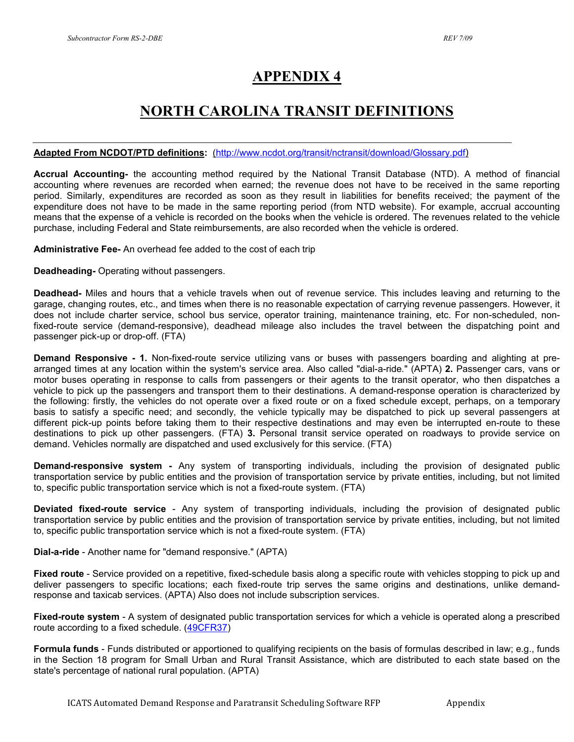## **APPENDIX 4**

## **NORTH CAROLINA TRANSIT DEFINITIONS**

#### **Adapted From NCDOT/PTD definitions:** [\(http://www.ncdot.org/transit/nctransit/download/Glossary.pdf\)](http://www.ncdot.org/transit/nctransit/download/Glossary.pdf)

**Accrual Accounting-** the accounting method required by the National Transit Database (NTD). A method of financial accounting where revenues are recorded when earned; the revenue does not have to be received in the same reporting period. Similarly, expenditures are recorded as soon as they result in liabilities for benefits received; the payment of the expenditure does not have to be made in the same reporting period (from NTD website). For example, accrual accounting means that the expense of a vehicle is recorded on the books when the vehicle is ordered. The revenues related to the vehicle purchase, including Federal and State reimbursements, are also recorded when the vehicle is ordered.

**Administrative Fee-** An overhead fee added to the cost of each trip

**Deadheading-** Operating without passengers.

**Deadhead-** Miles and hours that a vehicle travels when out of revenue service. This includes leaving and returning to the garage, changing routes, etc., and times when there is no reasonable expectation of carrying revenue passengers. However, it does not include charter service, school bus service, operator training, maintenance training, etc. For non-scheduled, nonfixed-route service (demand-responsive), deadhead mileage also includes the travel between the dispatching point and passenger pick-up or drop-off. (FTA)

**Demand Responsive - 1.** Non-fixed-route service utilizing vans or buses with passengers boarding and alighting at prearranged times at any location within the system's service area. Also called "dial-a-ride." (APTA) **2.** Passenger cars, vans or motor buses operating in response to calls from passengers or their agents to the transit operator, who then dispatches a vehicle to pick up the passengers and transport them to their destinations. A demand-response operation is characterized by the following: firstly, the vehicles do not operate over a fixed route or on a fixed schedule except, perhaps, on a temporary basis to satisfy a specific need; and secondly, the vehicle typically may be dispatched to pick up several passengers at different pick-up points before taking them to their respective destinations and may even be interrupted en-route to these destinations to pick up other passengers. (FTA) **3.** Personal transit service operated on roadways to provide service on demand. Vehicles normally are dispatched and used exclusively for this service. (FTA)

**Demand-responsive system -** Any system of transporting individuals, including the provision of designated public transportation service by public entities and the provision of transportation service by private entities, including, but not limited to, specific public transportation service which is not a fixed-route system. (FTA)

**Deviated fixed-route service** - Any system of transporting individuals, including the provision of designated public transportation service by public entities and the provision of transportation service by private entities, including, but not limited to, specific public transportation service which is not a fixed-route system. (FTA)

**Dial-a-ride** - Another name for "demand responsive." (APTA)

**Fixed route** - Service provided on a repetitive, fixed-schedule basis along a specific route with vehicles stopping to pick up and deliver passengers to specific locations; each fixed-route trip serves the same origins and destinations, unlike demandresponse and taxicab services. (APTA) Also does not include subscription services.

**Fixed-route system** - A system of designated public transportation services for which a vehicle is operated along a prescribed route according to a fixed schedule. [\(49CFR37\)](http://www.fta.dot.gov/library/legal/ada/FEDREG1001.HTM#371)

**Formula funds** - Funds distributed or apportioned to qualifying recipients on the basis of formulas described in law; e.g., funds in the Section 18 program for Small Urban and Rural Transit Assistance, which are distributed to each state based on the state's percentage of national rural population. (APTA)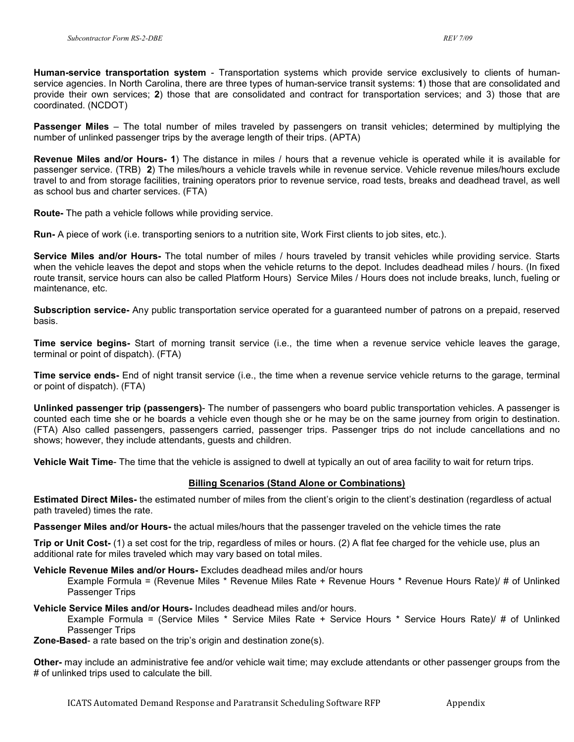**Human-service transportation system** - Transportation systems which provide service exclusively to clients of humanservice agencies. In North Carolina, there are three types of human-service transit systems: **1**) those that are consolidated and provide their own services; **2**) those that are consolidated and contract for transportation services; and 3) those that are coordinated. (NCDOT)

**Passenger Miles** – The total number of miles traveled by passengers on transit vehicles; determined by multiplying the number of unlinked passenger trips by the average length of their trips. (APTA)

**Revenue Miles and/or Hours- 1**) The distance in miles / hours that a revenue vehicle is operated while it is available for passenger service. (TRB) **2**) The miles/hours a vehicle travels while in revenue service. Vehicle revenue miles/hours exclude travel to and from storage facilities, training operators prior to revenue service, road tests, breaks and deadhead travel, as well as school bus and charter services. (FTA)

**Route-** The path a vehicle follows while providing service.

**Run-** A piece of work (i.e. transporting seniors to a nutrition site, Work First clients to job sites, etc.).

**Service Miles and/or Hours-** The total number of miles / hours traveled by transit vehicles while providing service. Starts when the vehicle leaves the depot and stops when the vehicle returns to the depot. Includes deadhead miles / hours. (In fixed route transit, service hours can also be called Platform Hours) Service Miles / Hours does not include breaks, lunch, fueling or maintenance, etc.

**Subscription service-** Any public transportation service operated for a guaranteed number of patrons on a prepaid, reserved basis.

**Time service begins-** Start of morning transit service (i.e., the time when a revenue service vehicle leaves the garage, terminal or point of dispatch). (FTA)

**Time service ends-** End of night transit service (i.e., the time when a revenue service vehicle returns to the garage, terminal or point of dispatch). (FTA)

**Unlinked passenger trip (passengers)**- The number of passengers who board public transportation vehicles. A passenger is counted each time she or he boards a vehicle even though she or he may be on the same journey from origin to destination. (FTA) Also called passengers, passengers carried, passenger trips. Passenger trips do not include cancellations and no shows; however, they include attendants, guests and children.

**Vehicle Wait Time**- The time that the vehicle is assigned to dwell at typically an out of area facility to wait for return trips.

#### **Billing Scenarios (Stand Alone or Combinations)**

**Estimated Direct Miles-** the estimated number of miles from the client's origin to the client's destination (regardless of actual path traveled) times the rate.

**Passenger Miles and/or Hours-** the actual miles/hours that the passenger traveled on the vehicle times the rate

**Trip or Unit Cost-** (1) a set cost for the trip, regardless of miles or hours. (2) A flat fee charged for the vehicle use, plus an additional rate for miles traveled which may vary based on total miles.

#### **Vehicle Revenue Miles and/or Hours-** Excludes deadhead miles and/or hours

Example Formula = (Revenue Miles \* Revenue Miles Rate + Revenue Hours \* Revenue Hours Rate)/ # of Unlinked Passenger Trips

**Vehicle Service Miles and/or Hours-** Includes deadhead miles and/or hours.

Example Formula = (Service Miles \* Service Miles Rate + Service Hours \* Service Hours Rate)/ # of Unlinked Passenger Trips

**Zone-Based**- a rate based on the trip's origin and destination zone(s).

**Other-** may include an administrative fee and/or vehicle wait time; may exclude attendants or other passenger groups from the # of unlinked trips used to calculate the bill.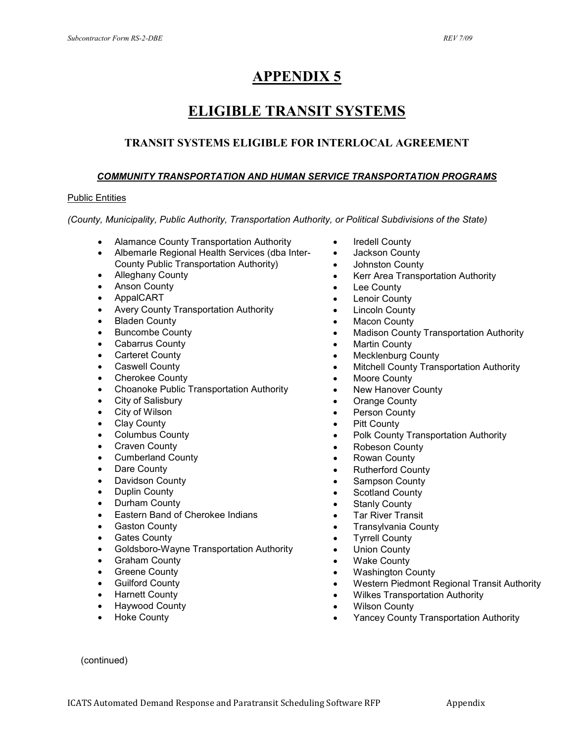## **APPENDIX 5**

## **ELIGIBLE TRANSIT SYSTEMS**

## **TRANSIT SYSTEMS ELIGIBLE FOR INTERLOCAL AGREEMENT**

#### *COMMUNITY TRANSPORTATION AND HUMAN SERVICE TRANSPORTATION PROGRAMS*

#### Public Entities

*(County, Municipality, Public Authority, Transportation Authority, or Political Subdivisions of the State)*

- Alamance County Transportation Authority
- Albemarle Regional Health Services (dba Inter-County Public Transportation Authority)
- Alleghany County
- Anson County
- AppalCART
- Avery County Transportation Authority
- **Bladen County**
- Buncombe County
- Cabarrus County
- **Carteret County**
- **Caswell County**
- Cherokee County
- Choanoke Public Transportation Authority
- City of Salisbury
- City of Wilson
- **Clay County**
- Columbus County
- Craven County
- Cumberland County
- Dare County
- Davidson County
- Duplin County
- Durham County
- Eastern Band of Cherokee Indians
- **Gaston County**
- Gates County
- Goldsboro-Wayne Transportation Authority
- Graham County
- Greene County
- **Guilford County**
- Harnett County
- Haywood County
- **Hoke County**
- Iredell County
- Jackson County
- Johnston County
- Kerr Area Transportation Authority
- **Lee County**
- **Lenoir County**
- **Lincoln County**
- **Macon County**
- Madison County Transportation Authority
- **Martin County**
- Mecklenburg County
- Mitchell County Transportation Authority
- Moore County
- New Hanover County
- Orange County
- Person County
- Pitt County
- Polk County Transportation Authority
- Robeson County
- Rowan County
- Rutherford County
- Sampson County
- Scotland County
- **Stanly County**
- **Tar River Transit**
- Transylvania County
- **Tyrrell County**
- **Union County**
- **Wake County**
- Washington County
- Western Piedmont Regional Transit Authority
- Wilkes Transportation Authority
- **Wilson County**
- Yancey County Transportation Authority

(continued)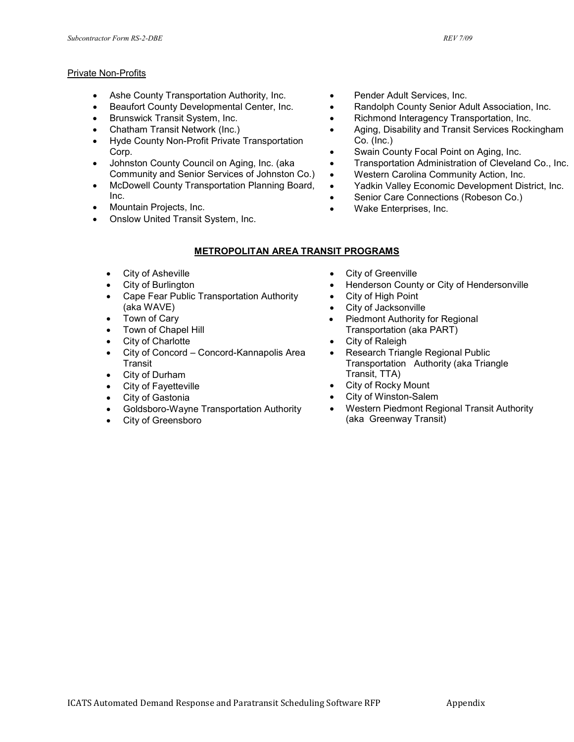#### Private Non-Profits

- Ashe County Transportation Authority, Inc.
- Beaufort County Developmental Center, Inc.
- Brunswick Transit System, Inc.
- Chatham Transit Network (Inc.)
- Hyde County Non-Profit Private Transportation Corp.
- Johnston County Council on Aging, Inc. (aka Community and Senior Services of Johnston Co.)
- McDowell County Transportation Planning Board, Inc.
- Mountain Projects, Inc.
- Onslow United Transit System, Inc.
- Pender Adult Services, Inc.
- Randolph County Senior Adult Association, Inc.
- Richmond Interagency Transportation, Inc.
- Aging, Disability and Transit Services Rockingham Co. (Inc.)
- Swain County Focal Point on Aging, Inc.
- Transportation Administration of Cleveland Co., Inc.
- Western Carolina Community Action, Inc.
- Yadkin Valley Economic Development District, Inc.
- Senior Care Connections (Robeson Co.)
- Wake Enterprises, Inc.

#### **METROPOLITAN AREA TRANSIT PROGRAMS**

- City of Asheville
- City of Burlington
- Cape Fear Public Transportation Authority (aka WAVE)
- Town of Cary
- Town of Chapel Hill
- City of Charlotte
- City of Concord Concord-Kannapolis Area **Transit**
- City of Durham
- **City of Fayetteville**
- City of Gastonia
- Goldsboro-Wayne Transportation Authority
- City of Greensboro
- City of Greenville
- Henderson County or City of Hendersonville
- City of High Point
- City of Jacksonville
- Piedmont Authority for Regional Transportation (aka PART)
- City of Raleigh
- Research Triangle Regional Public Transportation Authority (aka Triangle Transit, TTA)
- City of Rocky Mount
- City of Winston-Salem
- Western Piedmont Regional Transit Authority (aka Greenway Transit)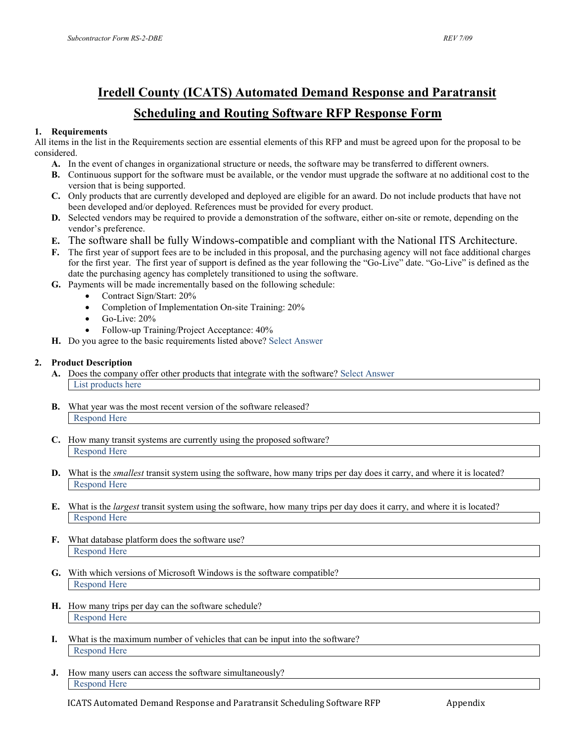## **Iredell County (ICATS) Automated Demand Response and Paratransit Scheduling and Routing Software RFP Response Form**

#### **1. Requirements**

All items in the list in the Requirements section are essential elements of this RFP and must be agreed upon for the proposal to be considered.

- **A.** In the event of changes in organizational structure or needs, the software may be transferred to different owners.
- **B.** Continuous support for the software must be available, or the vendor must upgrade the software at no additional cost to the version that is being supported.
- **C.** Only products that are currently developed and deployed are eligible for an award. Do not include products that have not been developed and/or deployed. References must be provided for every product.
- **D.** Selected vendors may be required to provide a demonstration of the software, either on-site or remote, depending on the vendor's preference.
- **E.** The software shall be fully Windows-compatible and compliant with the National ITS Architecture.
- **F.** The first year of support fees are to be included in this proposal, and the purchasing agency will not face additional charges for the first year. The first year of support is defined as the year following the "Go-Live" date. "Go-Live" is defined as the date the purchasing agency has completely transitioned to using the software.
- **G.** Payments will be made incrementally based on the following schedule:
	- Contract Sign/Start: 20%
	- Completion of Implementation On-site Training: 20%
	- $\bullet$  Go-Live: 20%
	- Follow-up Training/Project Acceptance: 40%
- **H.** Do you agree to the basic requirements listed above? Select Answer

#### **2. Product Description**

- **A.** Does the company offer other products that integrate with the software? Select Answer List products here
- **B.** What year was the most recent version of the software released? Respond Here
- **C.** How many transit systems are currently using the proposed software? Respond Here
- **D.** What is the *smallest* transit system using the software, how many trips per day does it carry, and where it is located? Respond Here
- **E.** What is the *largest* transit system using the software, how many trips per day does it carry, and where it is located? Respond Here
- **F.** What database platform does the software use? Respond Here
- **G.** With which versions of Microsoft Windows is the software compatible? Respond Here
- **H.** How many trips per day can the software schedule? Respond Here
- **I.** What is the maximum number of vehicles that can be input into the software? Respond Here
- **J.** How many users can access the software simultaneously? Respond Here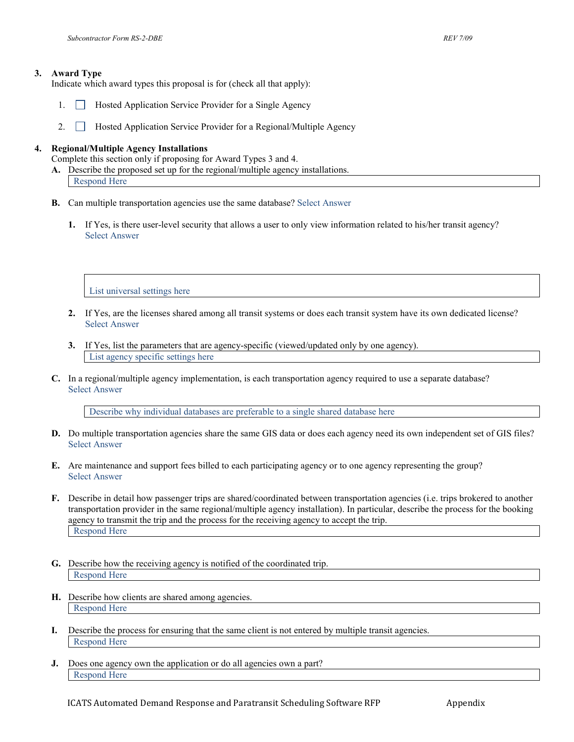Indicate which award types this proposal is for (check all that apply):

- 1. Hosted Application Service Provider for a Single Agency
- 2. **Hosted Application Service Provider for a Regional/Multiple Agency**

#### **4. Regional/Multiple Agency Installations**

Complete this section only if proposing for Award Types 3 and 4.

- **A.** Describe the proposed set up for the regional/multiple agency installations. Respond Here
- **B.** Can multiple transportation agencies use the same database? Select Answer
	- **1.** If Yes, is there user-level security that allows a user to only view information related to his/her transit agency? Select Answer

List universal settings here

- **2.** If Yes, are the licenses shared among all transit systems or does each transit system have its own dedicated license? Select Answer
- **3.** If Yes, list the parameters that are agency-specific (viewed/updated only by one agency). List agency specific settings here
- **C.** In a regional/multiple agency implementation, is each transportation agency required to use a separate database? Select Answer

Describe why individual databases are preferable to a single shared database here

- **D.** Do multiple transportation agencies share the same GIS data or does each agency need its own independent set of GIS files? Select Answer
- **E.** Are maintenance and support fees billed to each participating agency or to one agency representing the group? Select Answer
- **F.** Describe in detail how passenger trips are shared/coordinated between transportation agencies (i.e. trips brokered to another transportation provider in the same regional/multiple agency installation). In particular, describe the process for the booking agency to transmit the trip and the process for the receiving agency to accept the trip. Respond Here
- **G.** Describe how the receiving agency is notified of the coordinated trip. Respond Here
- **H.** Describe how clients are shared among agencies. Respond Here
- **I.** Describe the process for ensuring that the same client is not entered by multiple transit agencies. Respond Here
- **J.** Does one agency own the application or do all agencies own a part? Respond Here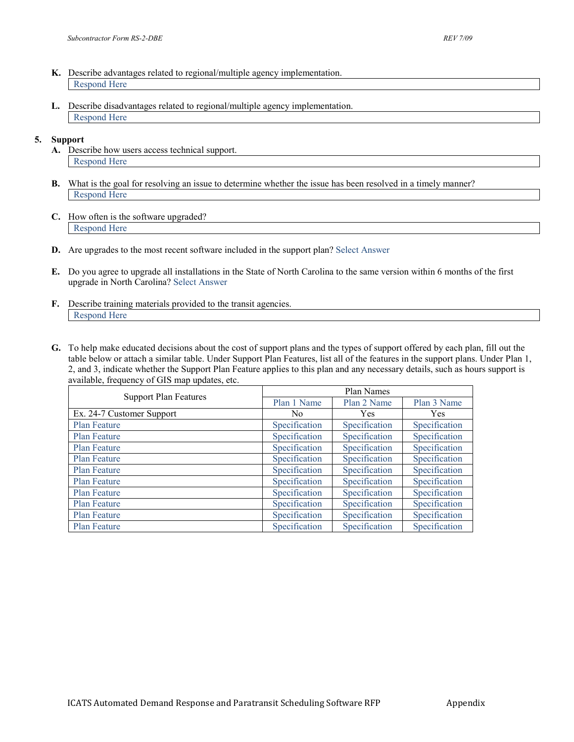- **K.** Describe advantages related to regional/multiple agency implementation. Respond Here
- **L.** Describe disadvantages related to regional/multiple agency implementation. Respond Here

#### **5. Support**

- **A.** Describe how users access technical support. Respond Here
- **B.** What is the goal for resolving an issue to determine whether the issue has been resolved in a timely manner? Respond Here
- **C.** How often is the software upgraded? Respond Here
- **D.** Are upgrades to the most recent software included in the support plan? Select Answer
- **E.** Do you agree to upgrade all installations in the State of North Carolina to the same version within 6 months of the first upgrade in North Carolina? Select Answer
- **F.** Describe training materials provided to the transit agencies. Respond Here
- **G.** To help make educated decisions about the cost of support plans and the types of support offered by each plan, fill out the table below or attach a similar table. Under Support Plan Features, list all of the features in the support plans. Under Plan 1, 2, and 3, indicate whether the Support Plan Feature applies to this plan and any necessary details, such as hours support is available, frequency of GIS map updates, etc.

| <b>Support Plan Features</b> | Plan Names    |               |               |
|------------------------------|---------------|---------------|---------------|
|                              | Plan 1 Name   | Plan 2 Name   | Plan 3 Name   |
| Ex. 24-7 Customer Support    | No            | Yes           | <b>Yes</b>    |
| <b>Plan Feature</b>          | Specification | Specification | Specification |
| Plan Feature                 | Specification | Specification | Specification |
| Plan Feature                 | Specification | Specification | Specification |
| <b>Plan Feature</b>          | Specification | Specification | Specification |
| <b>Plan Feature</b>          | Specification | Specification | Specification |
| <b>Plan Feature</b>          | Specification | Specification | Specification |
| <b>Plan Feature</b>          | Specification | Specification | Specification |
| <b>Plan Feature</b>          | Specification | Specification | Specification |
| <b>Plan Feature</b>          | Specification | Specification | Specification |
| <b>Plan Feature</b>          | Specification | Specification | Specification |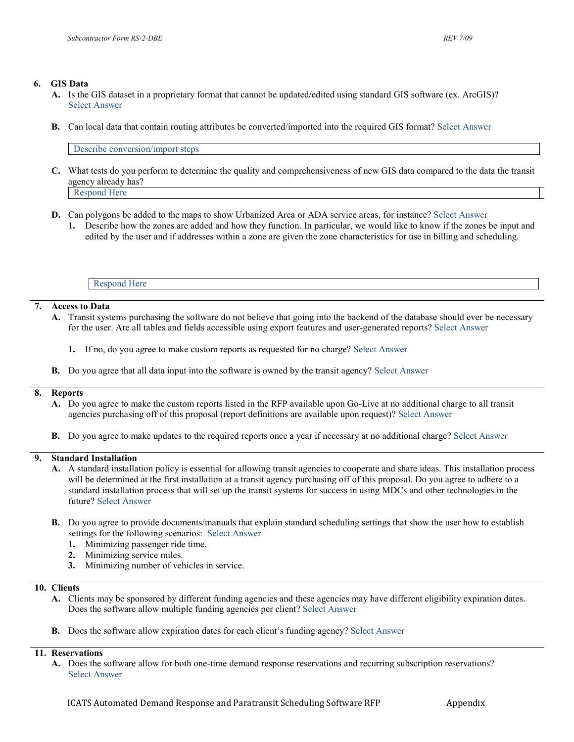#### **6. GIS Data**

- **A.** Is the GIS dataset in a proprietary format that cannot be updated/edited using standard GIS software (ex. ArcGIS)? Select Answer
- **B.** Can local data that contain routing attributes be converted/imported into the required GIS format? Select Answer

Describe conversion/import steps

- **C.** What tests do you perform to determine the quality and comprehensiveness of new GIS data compared to the data the transit agency already has? Respond Here
- **D.** Can polygons be added to the maps to show Urbanized Area or ADA service areas, for instance? Select Answer
	- **1.** Describe how the zones are added and how they function. In particular, we would like to know if the zones be input and edited by the user and if addresses within a zone are given the zone characteristics for use in billing and scheduling.

Respond Here

#### **7. Access to Data**

- **A.** Transit systems purchasing the software do not believe that going into the backend of the database should ever be necessary for the user. Are all tables and fields accessible using export features and user-generated reports? Select Answer
	- **1.** If no, do you agree to make custom reports as requested for no charge? Select Answer
- **B.** Do you agree that all data input into the software is owned by the transit agency? Select Answer

#### **8. Reports**

- **A.** Do you agree to make the custom reports listed in the RFP available upon Go-Live at no additional charge to all transit agencies purchasing off of this proposal (report definitions are available upon request)? Select Answer
- **B.** Do you agree to make updates to the required reports once a year if necessary at no additional charge? Select Answer

#### **9. Standard Installation**

- **A.** A standard installation policy is essential for allowing transit agencies to cooperate and share ideas. This installation process will be determined at the first installation at a transit agency purchasing off of this proposal. Do you agree to adhere to a standard installation process that will set up the transit systems for success in using MDCs and other technologies in the future? Select Answer
- **B.** Do you agree to provide documents/manuals that explain standard scheduling settings that show the user how to establish settings for the following scenarios: Select Answer
	- **1.** Minimizing passenger ride time.
	- **2.** Minimizing service miles.
	- **3.** Minimizing number of vehicles in service.

#### **10. Clients**

- **A.** Clients may be sponsored by different funding agencies and these agencies may have different eligibility expiration dates. Does the software allow multiple funding agencies per client? Select Answer
- **B.** Does the software allow expiration dates for each client's funding agency? Select Answer

#### **11. Reservations**

**A.** Does the software allow for both one-time demand response reservations and recurring subscription reservations? Select Answer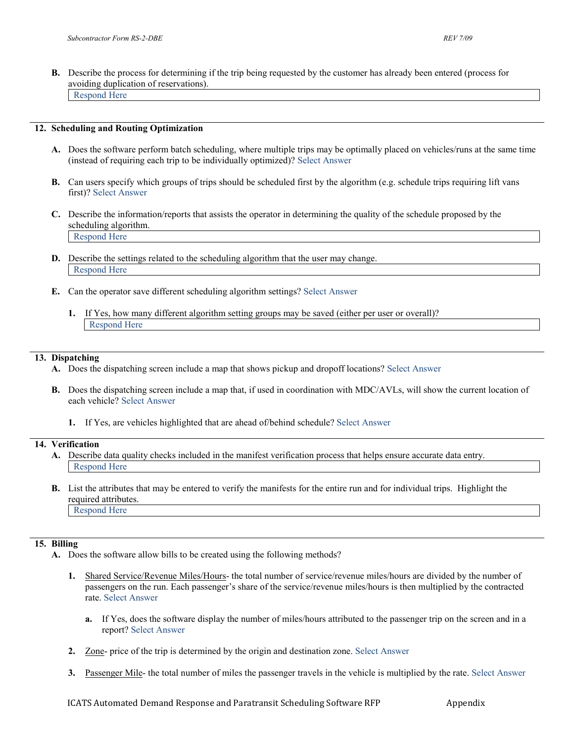**B.** Describe the process for determining if the trip being requested by the customer has already been entered (process for avoiding duplication of reservations). Respond Here

#### **12. Scheduling and Routing Optimization**

- **A.** Does the software perform batch scheduling, where multiple trips may be optimally placed on vehicles/runs at the same time (instead of requiring each trip to be individually optimized)? Select Answer
- **B.** Can users specify which groups of trips should be scheduled first by the algorithm (e.g. schedule trips requiring lift vans first)? Select Answer
- **C.** Describe the information/reports that assists the operator in determining the quality of the schedule proposed by the scheduling algorithm. Respond Here
- **D.** Describe the settings related to the scheduling algorithm that the user may change. Respond Here
- **E.** Can the operator save different scheduling algorithm settings? Select Answer
	- **1.** If Yes, how many different algorithm setting groups may be saved (either per user or overall)? Respond Here

#### **13. Dispatching**

- **A.** Does the dispatching screen include a map that shows pickup and dropoff locations? Select Answer
- **B.** Does the dispatching screen include a map that, if used in coordination with MDC/AVLs, will show the current location of each vehicle? Select Answer
	- **1.** If Yes, are vehicles highlighted that are ahead of/behind schedule? Select Answer

#### **14. Verification**

- **A.** Describe data quality checks included in the manifest verification process that helps ensure accurate data entry. Respond Here
- **B.** List the attributes that may be entered to verify the manifests for the entire run and for individual trips. Highlight the required attributes. Respond Here

#### **15. Billing**

- **A.** Does the software allow bills to be created using the following methods?
	- **1.** Shared Service/Revenue Miles/Hours- the total number of service/revenue miles/hours are divided by the number of passengers on the run. Each passenger's share of the service/revenue miles/hours is then multiplied by the contracted rate. Select Answer
		- **a.** If Yes, does the software display the number of miles/hours attributed to the passenger trip on the screen and in a report? Select Answer
	- **2.** Zone- price of the trip is determined by the origin and destination zone. Select Answer
	- **3.** Passenger Mile- the total number of miles the passenger travels in the vehicle is multiplied by the rate. Select Answer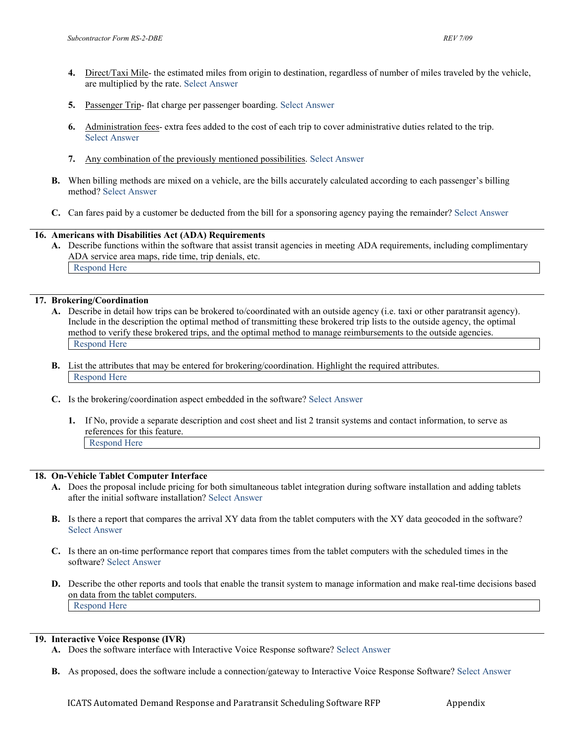- **4.** Direct/Taxi Mile- the estimated miles from origin to destination, regardless of number of miles traveled by the vehicle, are multiplied by the rate. Select Answer
- **5.** Passenger Trip- flat charge per passenger boarding. Select Answer
- **6.** Administration fees- extra fees added to the cost of each trip to cover administrative duties related to the trip. Select Answer
- **7.** Any combination of the previously mentioned possibilities. Select Answer
- **B.** When billing methods are mixed on a vehicle, are the bills accurately calculated according to each passenger's billing method? Select Answer
- **C.** Can fares paid by a customer be deducted from the bill for a sponsoring agency paying the remainder? Select Answer

#### **16. Americans with Disabilities Act (ADA) Requirements**

**A.** Describe functions within the software that assist transit agencies in meeting ADA requirements, including complimentary ADA service area maps, ride time, trip denials, etc. Respond Here

#### **17. Brokering/Coordination**

- **A.** Describe in detail how trips can be brokered to/coordinated with an outside agency (i.e. taxi or other paratransit agency). Include in the description the optimal method of transmitting these brokered trip lists to the outside agency, the optimal method to verify these brokered trips, and the optimal method to manage reimbursements to the outside agencies. Respond Here
- **B.** List the attributes that may be entered for brokering/coordination. Highlight the required attributes. Respond Here
- **C.** Is the brokering/coordination aspect embedded in the software? Select Answer
	- **1.** If No, provide a separate description and cost sheet and list 2 transit systems and contact information, to serve as references for this feature. Respond Here

#### **18. On-Vehicle Tablet Computer Interface**

- **A.** Does the proposal include pricing for both simultaneous tablet integration during software installation and adding tablets after the initial software installation? Select Answer
- **B.** Is there a report that compares the arrival XY data from the tablet computers with the XY data geocoded in the software? Select Answer
- **C.** Is there an on-time performance report that compares times from the tablet computers with the scheduled times in the software? Select Answer
- **D.** Describe the other reports and tools that enable the transit system to manage information and make real-time decisions based on data from the tablet computers. Respond Here

#### **19. Interactive Voice Response (IVR)**

- **A.** Does the software interface with Interactive Voice Response software? Select Answer
- **B.** As proposed, does the software include a connection/gateway to Interactive Voice Response Software? Select Answer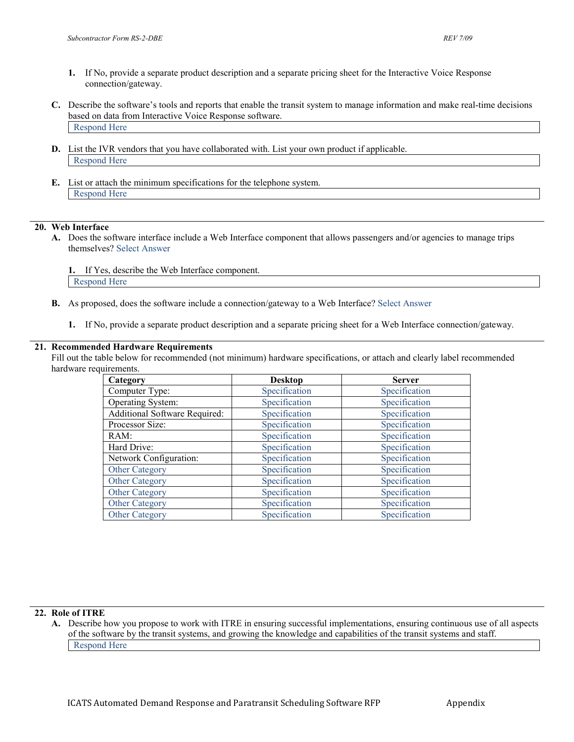- **1.** If No, provide a separate product description and a separate pricing sheet for the Interactive Voice Response connection/gateway.
- **C.** Describe the software's tools and reports that enable the transit system to manage information and make real-time decisions based on data from Interactive Voice Response software. Respond Here
- **D.** List the IVR vendors that you have collaborated with. List your own product if applicable. Respond Here
- **E.** List or attach the minimum specifications for the telephone system. Respond Here

#### **20. Web Interface**

**A.** Does the software interface include a Web Interface component that allows passengers and/or agencies to manage trips themselves? Select Answer

**1.** If Yes, describe the Web Interface component. Respond Here

- **B.** As proposed, does the software include a connection/gateway to a Web Interface? Select Answer
	- **1.** If No, provide a separate product description and a separate pricing sheet for a Web Interface connection/gateway.

#### **21. Recommended Hardware Requirements**

Fill out the table below for recommended (not minimum) hardware specifications, or attach and clearly label recommended hardware requirements.

| Category                      | <b>Desktop</b> | <b>Server</b> |
|-------------------------------|----------------|---------------|
| Computer Type:                | Specification  | Specification |
| Operating System:             | Specification  | Specification |
| Additional Software Required: | Specification  | Specification |
| Processor Size:               | Specification  | Specification |
| RAM:                          | Specification  | Specification |
| Hard Drive:                   | Specification  | Specification |
| Network Configuration:        | Specification  | Specification |
| <b>Other Category</b>         | Specification  | Specification |
| <b>Other Category</b>         | Specification  | Specification |
| Other Category                | Specification  | Specification |
| Other Category                | Specification  | Specification |
| <b>Other Category</b>         | Specification  | Specification |

#### **22. Role of ITRE**

**A.** Describe how you propose to work with ITRE in ensuring successful implementations, ensuring continuous use of all aspects of the software by the transit systems, and growing the knowledge and capabilities of the transit systems and staff. Respond Here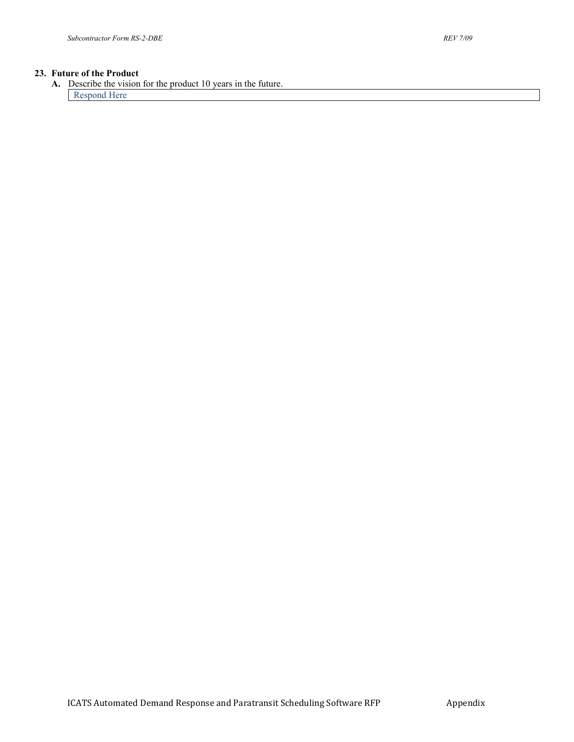#### **23. Future of the Product**

**A.** Describe the vision for the product 10 years in the future. Respond Here